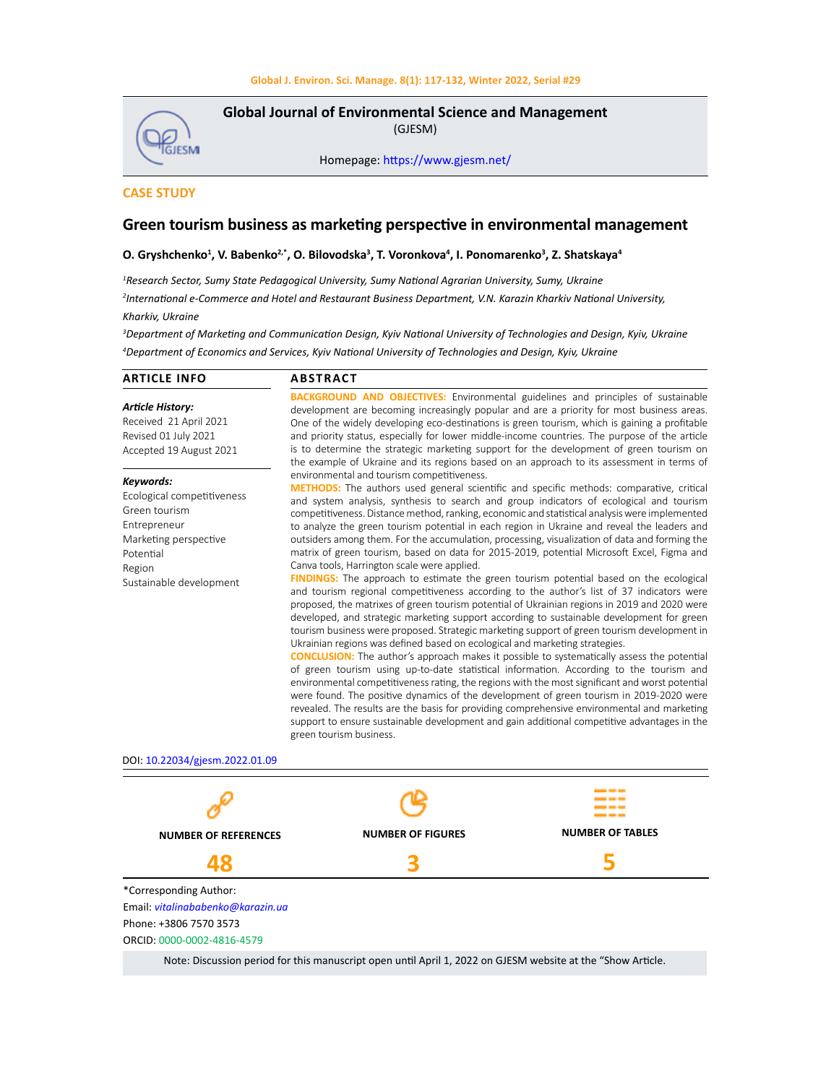### **Global J. Environ. Sci. Manage. 8(1): 117-132, Winter 2022, Serial #29**

**GJESMI** 

**Global Journal of Environmental Science and Management**  (GJESM)

Homepage: [https://www.gjesm.net/](https://www.gjesm.net/ )

# **CASE STUDY**

# **Green tourism business as marketing perspective in environmental management**

## **O. Gryshchenko<sup>1</sup>, V. Babenko<sup>2,</sup>\*, O. Bilovodska<sup>3</sup>, T. Voronkova<sup>4</sup>, I. Ponomarenko<sup>3</sup>, Z. Shatskaya<sup>4</sup>**

*1 Research Sector, Sumy State Pedagogical University, Sumy National Agrarian University, Sumy, Ukraine 2 International e-Сommerce and Hotel and Restaurant Business Department, V.N. Karazin Kharkiv National University, Kharkiv, Ukraine*

*3 Department of Marketing and Communication Design, Kyiv National University of Technologies and Design, Kyiv, Ukraine 4 Department of Economics and Services, Kyiv National University of Technologies and Design, Kyiv, Ukraine*

| <b>ARTICLE INFO</b>                                                                                                                                 | <b>ABSTRACT</b>                                                                                                                                                                                                                                                                                                                                                                                                                                                                                                                                                                                                                                                                                                                                                                                                                                                                                                                                                                                                                                                                             |                         |  |  |  |  |
|-----------------------------------------------------------------------------------------------------------------------------------------------------|---------------------------------------------------------------------------------------------------------------------------------------------------------------------------------------------------------------------------------------------------------------------------------------------------------------------------------------------------------------------------------------------------------------------------------------------------------------------------------------------------------------------------------------------------------------------------------------------------------------------------------------------------------------------------------------------------------------------------------------------------------------------------------------------------------------------------------------------------------------------------------------------------------------------------------------------------------------------------------------------------------------------------------------------------------------------------------------------|-------------------------|--|--|--|--|
| <b>Article History:</b><br>Received 21 April 2021<br>Revised 01 July 2021<br>Accepted 19 August 2021                                                | <b>BACKGROUND AND OBJECTIVES:</b> Environmental guidelines and principles of sustainable<br>development are becoming increasingly popular and are a priority for most business areas.<br>One of the widely developing eco-destinations is green tourism, which is gaining a profitable<br>and priority status, especially for lower middle-income countries. The purpose of the article<br>is to determine the strategic marketing support for the development of green tourism on<br>the example of Ukraine and its regions based on an approach to its assessment in terms of                                                                                                                                                                                                                                                                                                                                                                                                                                                                                                             |                         |  |  |  |  |
| Keywords:<br>Ecological competitiveness<br>Green tourism<br>Entrepreneur<br>Marketing perspective<br>Potential<br>Region<br>Sustainable development | environmental and tourism competitiveness.<br>METHODS: The authors used general scientific and specific methods: comparative, critical<br>and system analysis, synthesis to search and group indicators of ecological and tourism<br>competitiveness. Distance method, ranking, economic and statistical analysis were implemented<br>to analyze the green tourism potential in each region in Ukraine and reveal the leaders and<br>outsiders among them. For the accumulation, processing, visualization of data and forming the<br>matrix of green tourism, based on data for 2015-2019, potential Microsoft Excel, Figma and<br>Canva tools, Harrington scale were applied.<br><b>FINDINGS:</b> The approach to estimate the green tourism potential based on the ecological                                                                                                                                                                                                                                                                                                            |                         |  |  |  |  |
|                                                                                                                                                     | and tourism regional competitiveness according to the author's list of 37 indicators were<br>proposed, the matrixes of green tourism potential of Ukrainian regions in 2019 and 2020 were<br>developed, and strategic marketing support according to sustainable development for green<br>tourism business were proposed. Strategic marketing support of green tourism development in<br>Ukrainian regions was defined based on ecological and marketing strategies.<br><b>CONCLUSION:</b> The author's approach makes it possible to systematically assess the potential<br>of green tourism using up-to-date statistical information. According to the tourism and<br>environmental competitiveness rating, the regions with the most significant and worst potential<br>were found. The positive dynamics of the development of green tourism in 2019-2020 were<br>revealed. The results are the basis for providing comprehensive environmental and marketing<br>support to ensure sustainable development and gain additional competitive advantages in the<br>green tourism business. |                         |  |  |  |  |
| DOI: 10.22034/gjesm.2022.01.09                                                                                                                      |                                                                                                                                                                                                                                                                                                                                                                                                                                                                                                                                                                                                                                                                                                                                                                                                                                                                                                                                                                                                                                                                                             |                         |  |  |  |  |
|                                                                                                                                                     |                                                                                                                                                                                                                                                                                                                                                                                                                                                                                                                                                                                                                                                                                                                                                                                                                                                                                                                                                                                                                                                                                             |                         |  |  |  |  |
| <b>NUMBER OF REFERENCES</b>                                                                                                                         | <b>NUMBER OF FIGURES</b>                                                                                                                                                                                                                                                                                                                                                                                                                                                                                                                                                                                                                                                                                                                                                                                                                                                                                                                                                                                                                                                                    | <b>NUMBER OF TABLES</b> |  |  |  |  |
| 48                                                                                                                                                  |                                                                                                                                                                                                                                                                                                                                                                                                                                                                                                                                                                                                                                                                                                                                                                                                                                                                                                                                                                                                                                                                                             | 5                       |  |  |  |  |
| *Corresponding Author:<br>Email: vitalinababenko@karazin.ua<br>Phone: +3806 7570 3573                                                               |                                                                                                                                                                                                                                                                                                                                                                                                                                                                                                                                                                                                                                                                                                                                                                                                                                                                                                                                                                                                                                                                                             |                         |  |  |  |  |

ORCID: 0000-0002-4816-4579

Note: Discussion period for this manuscript open until April 1, 2022 on GJESM website at the "Show Article.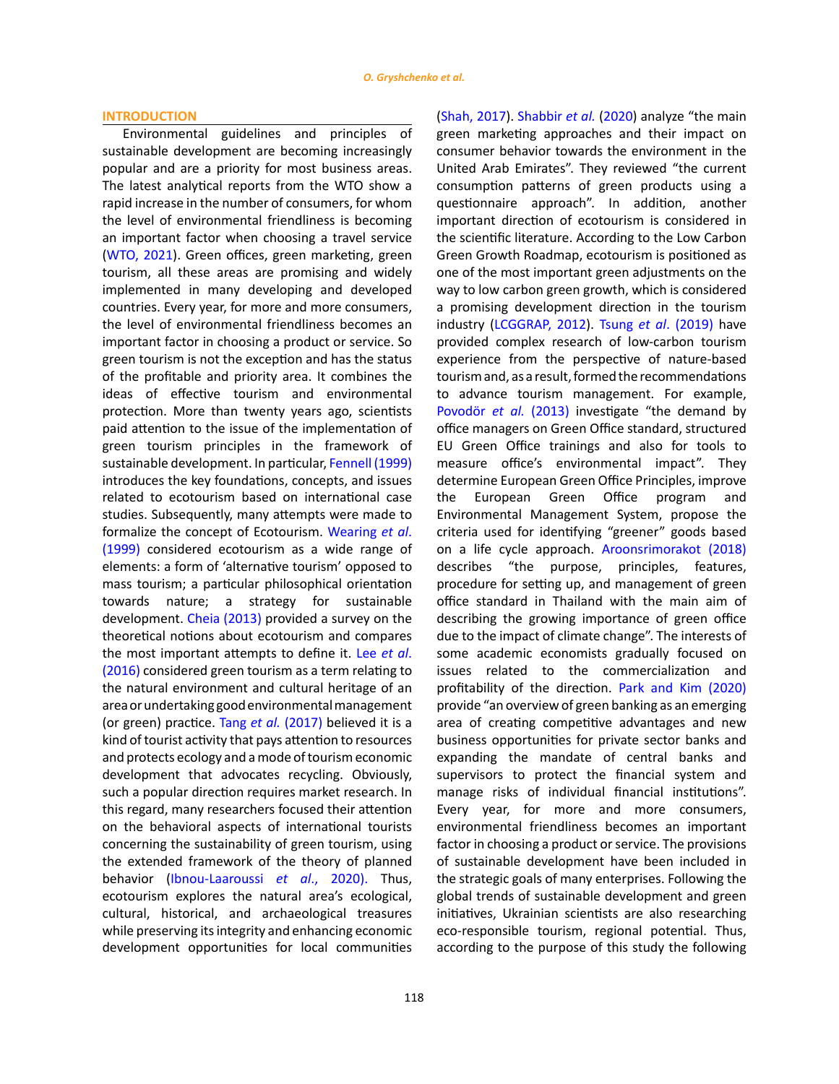#### **INTRODUCTION**

Environmental guidelines and principles of sustainable development are becoming increasingly popular and are a priority for most business areas. The latest analytical reports from the WTO show a rapid increase in the number of consumers, for whom the level of environmental friendliness is becoming an important factor when choosing a travel service ([WTO, 2021\)](#page-14-0). Green offices, green marketing, green tourism, all these areas are promising and widely implemented in many developing and developed countries. Every year, for more and more consumers, the level of environmental friendliness becomes an important factor in choosing a product or service. So green tourism is not the exception and has the status of the profitable and priority area. It combines the ideas of effective tourism and environmental protection. More than twenty years ago, scientists paid attention to the issue of the implementation of green tourism principles in the framework of sustainable development. In particular, [Fennell \(1999\)](#page-14-0) introduces the key foundations, concepts, and issues related to ecotourism based on international case studies. Subsequently, many attempts were made to formalize the concept of Ecotourism. [Wearing](#page-14-0) *et al*. [\(1999\)](#page-14-0) considered ecotourism as a wide range of elements: a form of 'alternative tourism' opposed to mass tourism; a particular philosophical orientation towards nature; a strategy for sustainable development. [Cheia \(2013\)](#page-14-0) provided a survey on the theoretical notions about ecotourism and compares the most important attempts to define it. Lee *[et al](#page-14-0)*. [\(2016\)](#page-14-0) considered green tourism as a term relating to the natural environment and cultural heritage of an area or undertaking good environmental management (or green) practice. Tang *et al.* [\(2017\)](#page-14-0) believed it is a kind of tourist activity that pays attention to resources and protects ecology and a mode of tourism economic development that advocates recycling. Obviously, such a popular direction requires market research. In this regard, many researchers focused their attention on the behavioral aspects of international tourists concerning the sustainability of green tourism, using the extended framework of the theory of planned behavior [\(Ibnou-Laaroussi](#page-14-0) *et al*., 2020). Thus, ecotourism explores the natural area's ecological, cultural, historical, and archaeological treasures while preserving its integrity and enhancing economic development opportunities for local communities

United Arab Emirates". They reviewed "the current consumption patterns of green products using a questionnaire approach". In addition, another important direction of ecotourism is considered in the scientific literature. Аccording to the Low Carbon Green Growth Roadmap, ecotourism is positioned as one of the most important green adjustments on the way to low carbon green growth, which is considered a promising development direction in the tourism industry [\(LCGGRAP, 2012\).](#page-14-0) Tsung *et al*. (2019) have provided complex research of low-carbon tourism experience from the perspective of nature-based tourism and, as a result, formed the recommendations to advance tourism management. For example, [Povodör](#page-14-0) *et al.* (2013) investigate "the demand by office managers on Green Office standard, structured EU Green Office trainings and also for tools to measure office's environmental impact". They determine European Green Office Principles, improve the European Green Office program and Environmental Management System, propose the criteria used for identifying "greener" goods based on a life cycle approach. [Aroonsrimorakot \(2018\)](#page-14-0) describes "the purpose, principles, features, procedure for setting up, and management of green office standard in Thailand with the main aim of describing the growing importance of green office due to the impact of climate change". The interests of some academic economists gradually focused on issues related to the commercialization and profitability of the direction. [Park and Kim \(2020\)](#page-14-0) provide "an overview of green banking as an emerging area of creating competitive advantages and new business opportunities for private sector banks and expanding the mandate of central banks and supervisors to protect the financial system and manage risks of individual financial institutions". Every year, for more and more consumers, environmental friendliness becomes an important factor in choosing a product or service. The provisions of sustainable development have been included in the strategic goals of many enterprises. Following the global trends of sustainable development and green initiatives, Ukrainian scientists are also researching eco-responsible tourism, regional potential. Thus, according to the purpose of this study the following

([Shah, 2017\). Shabbir](#page-14-0) *et al.* (2020) analyze "the main green marketing approaches and their impact on consumer behavior towards the environment in the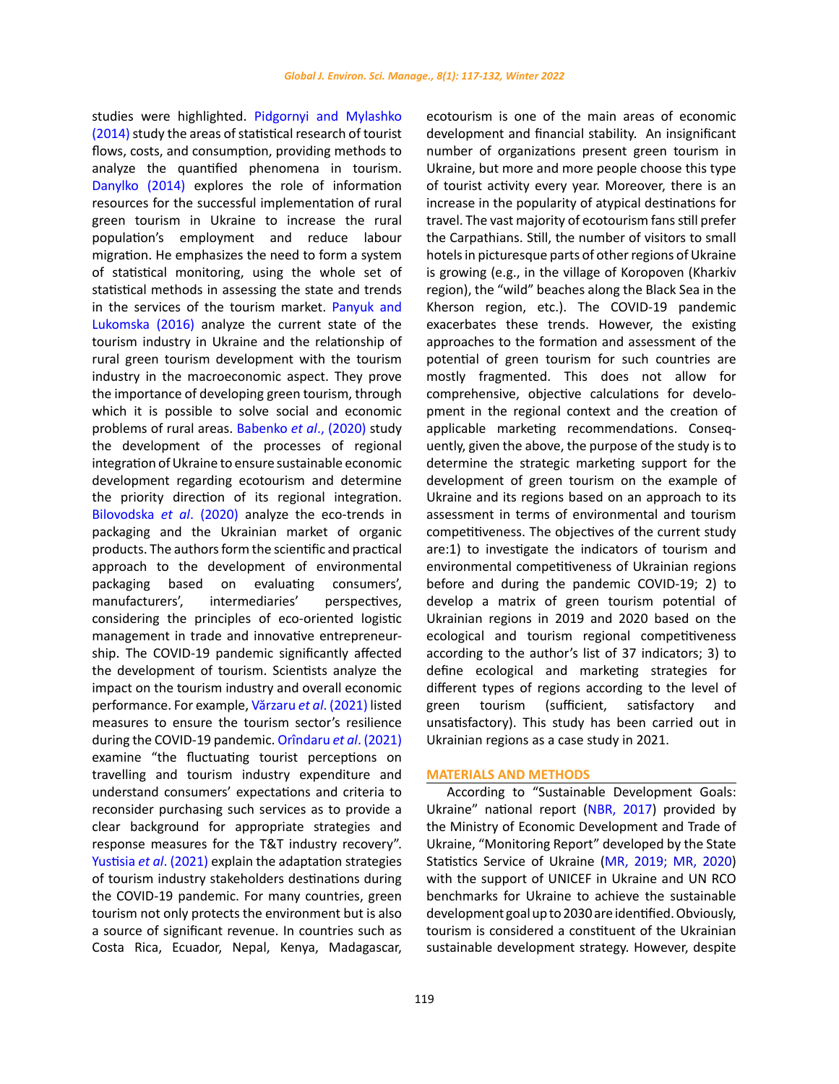studies were highlighted. [Pidgornyi and Mylashko](#page-14-0)  [\(2014\)](#page-14-0) study the areas of statistical research of tourist flows, costs, and consumption, providing methods to analyze the quantified phenomena in tourism. [Danylko \(2014\)](#page-14-0) explores the role of information resources for the successful implementation of rural green tourism in Ukraine to increase the rural population's employment and reduce labour migration. He emphasizes the need to form a system of statistical monitoring, using the whole set of statistical methods in assessing the state and trends in the services of the tourism market. [Panyuk and](#page-14-0)  [Lukomska \(2016\)](#page-14-0) analyze the current state of the tourism industry in Ukraine and the relationship of rural green tourism development with the tourism industry in the macroeconomic aspect. They prove the importance of developing green tourism, through which it is possible to solve social and economic problems of rural areas. [Babenko](#page-14-0) *et al*., (2020) study the development of the processes of regional integration of Ukraine to ensure sustainable economic development regarding ecotourism and determine the priority direction of its regional integration. [Bilovodska](#page-14-0) *et al*. (2020) analyze the eco-trends in packaging and the Ukrainian market of organic products. The authors form the scientific and practical approach to the development of environmental packaging based on evaluating consumers', manufacturers', intermediaries' perspectives, considering the principles of eco-oriented logistic management in trade and innovative entrepreneurship. The COVID-19 pandemic significantly affected the development of tourism. Scientists analyze the impact on the tourism industry and overall economic performance. For example, [Vărzaru](#page-14-0) *et al*. (2021) listed measures to ensure the tourism sector's resilience during the COVID-19 pandemic. [Orîndaru](#page-14-0) *et al*. (2021) examine "the fluctuating tourist perceptions on travelling and tourism industry expenditure and understand consumers' expectations and criteria to reconsider purchasing such services as to provide a clear background for appropriate strategies and response measures for the T&T industry recovery". [Yustisia](#page-14-0) *et al*. (2021) explain the adaptation strategies of tourism industry stakeholders destinations during the COVID-19 pandemic. For many countries, green tourism not only protects the environment but is also a source of significant revenue. In countries such as Costa Rica, Ecuador, Nepal, Kenya, Madagascar, ecotourism is one of the main areas of economic development and financial stability. An insignificant number of organizations present green tourism in Ukraine, but more and more people choose this type of tourist activity every year. Moreover, there is an increase in the popularity of atypical destinations for travel. The vast majority of ecotourism fans still prefer the Carpathians. Still, the number of visitors to small hotels in picturesque parts of other regions of Ukraine is growing (e.g., in the village of Koropoven (Kharkiv region), the "wild" beaches along the Black Sea in the Kherson region, etc.). The COVID-19 pandemic exacerbates these trends. However, the existing approaches to the formation and assessment of the potential of green tourism for such countries are mostly fragmented. This does not allow for comprehensive, objective calculations for development in the regional context and the creation of applicable marketing recommendations. Consequently, given the above, the purpose of the study is to determine the strategic marketing support for the development of green tourism on the example of Ukraine and its regions based on an approach to its assessment in terms of environmental and tourism competitiveness. The objectives of the current study are:1) to investigate the indicators of tourism and environmental competitiveness of Ukrainian regions before and during the pandemic COVID-19; 2) to develop a matrix of green tourism potential of Ukrainian regions in 2019 and 2020 based on the ecological and tourism regional competitiveness according to the author's list of 37 indicators; 3) to define ecological and marketing strategies for different types of regions according to the level of green tourism (sufficient, satisfactory and unsatisfactory). This study has been carried out in Ukrainian regions as a case study in 2021.

### **MATERIALS AND METHODS**

According to "Sustainable Development Goals: Ukraine" national report [\(NBR, 2017\)](#page-14-0) provided by the Ministry of Economic Development and Trade of Ukraine, "Monitoring Report" developed by the State Statistics Service of Ukraine [\(MR, 2019; MR, 2020](#page-14-0)) with the support of UNICEF in Ukraine and UN RCO benchmarks for Ukraine to achieve the sustainable development goal up to 2030 are identified. Obviously, tourism is considered a constituent of the Ukrainian sustainable development strategy. However, despite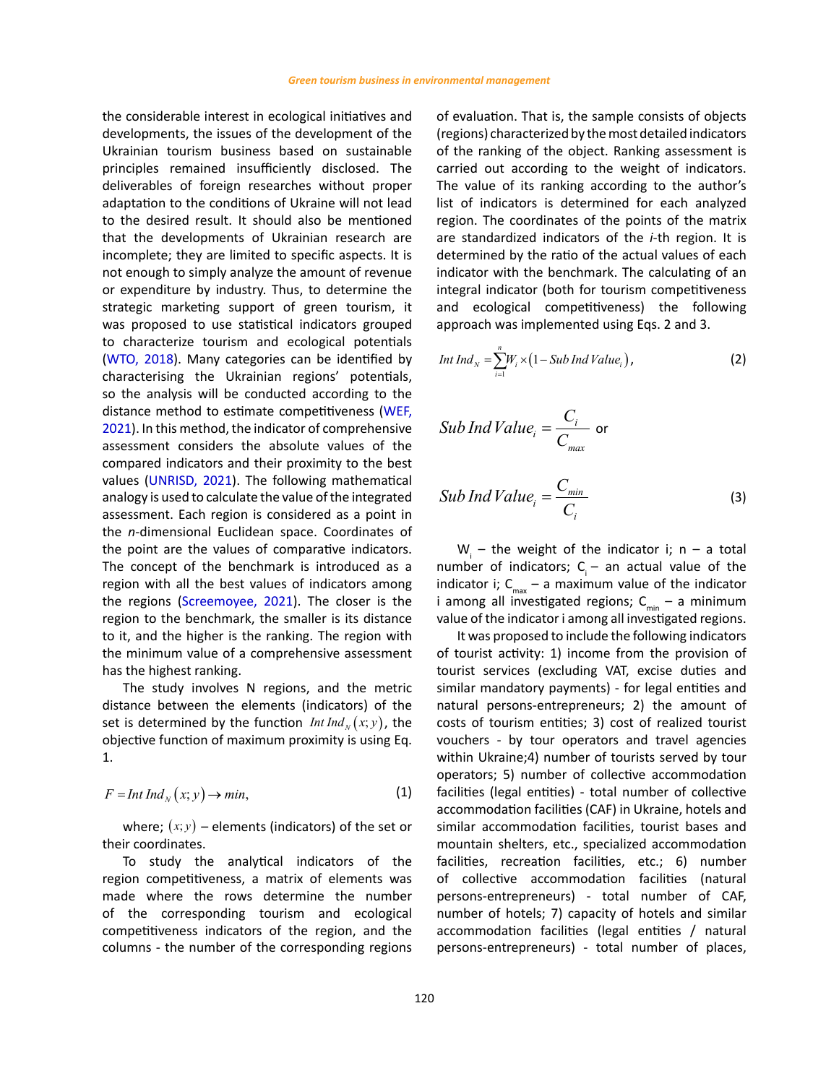the considerable interest in ecological initiatives and developments, the issues of the development of the Ukrainian tourism business based on sustainable principles remained insufficiently disclosed. The deliverables of foreign researches without proper adaptation to the conditions of Ukraine will not lead to the desired result. It should also be mentioned that the developments of Ukrainian research are incomplete; they are limited to specific aspects. It is not enough to simply analyze the amount of revenue or expenditure by industry. Thus, to determine the strategic marketing support of green tourism, it was proposed to use statistical indicators grouped to characterize tourism and ecological potentials ([WTO, 2018\).](#page-14-0) Many categories can be identified by characterising the Ukrainian regions' potentials, so the analysis will be conducted according to the distance method to estimate competitiveness [\(WEF,](#page-14-0)  [2021](#page-14-0)). In this method, the indicator of comprehensive assessment considers the absolute values of the compared indicators and their proximity to the best values ([UNRISD, 2021\).](#page-14-0) The following mathematical analogy is used to calculate the value of the integrated assessment. Each region is considered as a point in the *n*-dimensional Euclidean space. Coordinates of the point are the values of comparative indicators. The concept of the benchmark is introduced as a region with all the best values of indicators among the regions ([Screemoyee, 2021\).](#page-14-0) The closer is the region to the benchmark, the smaller is its distance to it, and the higher is the ranking. The region with the minimum value of a comprehensive assessment has the highest ranking.

The study involves N regions, and the metric distance between the elements (indicators) of the set is determined by the function *Int Ind<sub>x</sub>* (*x*; *y*), the objective function of maximum proximity is using Eq. 1.

$$
F = Int Ind_{N}(x; y) \to min,
$$
\n(1)

where:  $(x, y)$  – elements (indicators) of the set or their coordinates.

To study the analytical indicators of the region competitiveness, a matrix of elements was made where the rows determine the number of the corresponding tourism and ecological competitiveness indicators of the region, and the columns - the number of the corresponding regions of evaluation. That is, the sample consists of objects (regions) characterized by the most detailed indicators of the ranking of the object. Ranking assessment is carried out according to the weight of indicators. The value of its ranking according to the author's list of indicators is determined for each analyzed region. The coordinates of the points of the matrix are standardized indicators of the *i*-th region. It is determined by the ratio of the actual values of each indicator with the benchmark. The calculating of an integral indicator (both for tourism competitiveness and ecological competitiveness) the following approach was implemented using Eqs. 2 and 3.

$$
Int\,Ind_{N}=\sum_{i=1}^{n}W_{i}\times\left(1-Sub\,Ind\,Value_{i}\right),\qquad \qquad (2)
$$

$$
Sub\,Ind\,Value_i = \frac{C_i}{C_{max}} \text{ or }
$$

Sub Ind Value<sub>i</sub> = 
$$
\frac{C_{min}}{C_i}
$$
 (3)

 $W_i$  – the weight of the indicator i; n – a total number of indicators;  $C_i$  – an actual value of the indicator i;  $C_{\text{max}}$  – a maximum value of the indicator i among all investigated regions;  $C_{min}$  – a minimum value of the indicator i among all investigated regions.

It was proposed to include the following indicators of tourist activity: 1) income from the provision of tourist services (excluding VAT, excise duties and similar mandatory payments) - for legal entities and natural persons-entrepreneurs; 2) the amount of costs of tourism entities; 3) cost of realized tourist vouchers - by tour operators and travel agencies within Ukraine;4) number of tourists served by tour operators; 5) number of collective accommodation facilities (legal entities) - total number of collective accommodation facilities (CAF) in Ukraine, hotels and similar accommodation facilities, tourist bases and mountain shelters, etc., specialized accommodation facilities, recreation facilities, etc.; 6) number of collective accommodation facilities (natural persons-entrepreneurs) - total number of CAF, number of hotels; 7) capacity of hotels and similar accommodation facilities (legal entities / natural persons-entrepreneurs) - total number of places,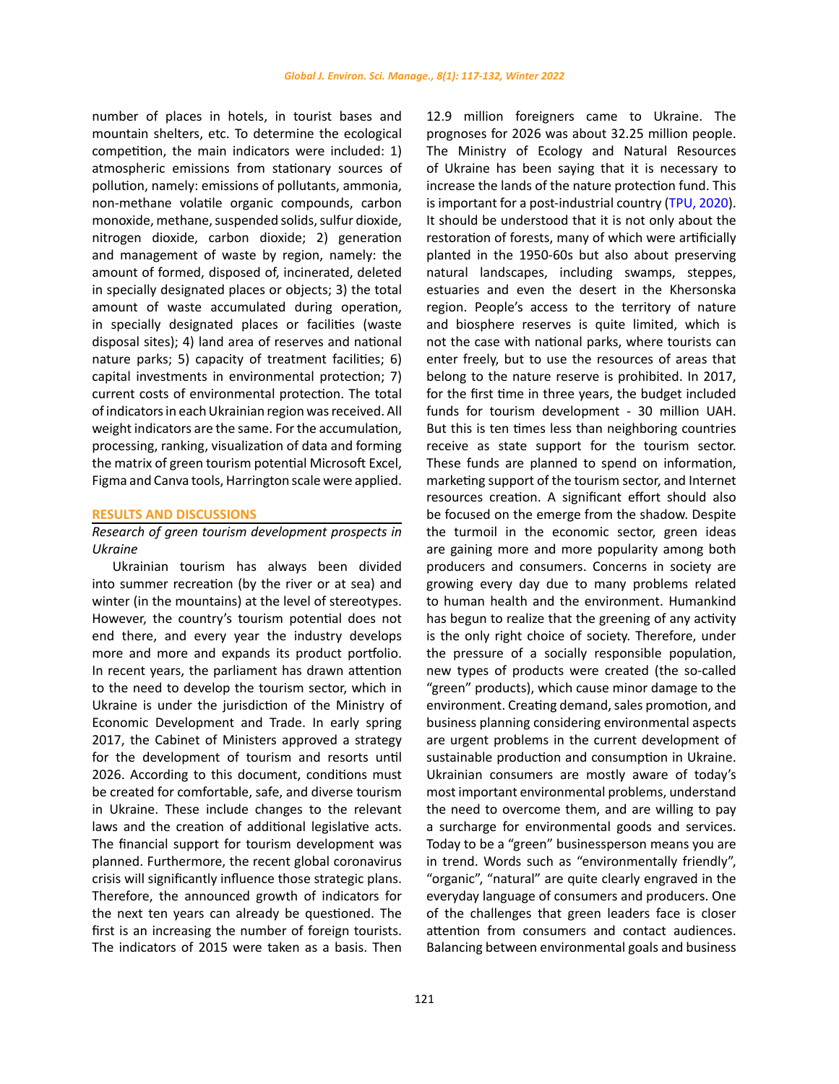number of places in hotels, in tourist bases and mountain shelters, etc. To determine the ecological competition, the main indicators were included: 1) atmospheric emissions from stationary sources of pollution, namely: emissions of pollutants, ammonia, non-methane volatile organic compounds, carbon monoxide, methane, suspended solids, sulfur dioxide, nitrogen dioxide, carbon dioxide; 2) generation and management of waste by region, namely: the amount of formed, disposed of, incinerated, deleted in specially designated places or objects; 3) the total amount of waste accumulated during operation, in specially designated places or facilities (waste disposal sites); 4) land area of reserves and national nature parks; 5) capacity of treatment facilities; 6) capital investments in environmental protection; 7) current costs of environmental protection. The total of indicators in each Ukrainian region was received. All weight indicators are the same. For the accumulation, processing, ranking, visualization of data and forming the matrix of green tourism potential Microsoft Excel, Figma and Canva tools, Harrington scale were applied.

### **RESULTS AND DISCUSSIONS**

## *Research of green tourism development prospects in Ukraine*

Ukrainian tourism has always been divided into summer recreation (by the river or at sea) and winter (in the mountains) at the level of stereotypes. However, the country's tourism potential does not end there, and every year the industry develops more and more and expands its product portfolio. In recent years, the parliament has drawn attention to the need to develop the tourism sector, which in Ukraine is under the jurisdiction of the Ministry of Economic Development and Trade. In early spring 2017, the Cabinet of Ministers approved a strategy for the development of tourism and resorts until 2026. According to this document, conditions must be created for comfortable, safe, and diverse tourism in Ukraine. These include changes to the relevant laws and the creation of additional legislative acts. The financial support for tourism development was planned. Furthermore, the recent global coronavirus crisis will significantly influence those strategic plans. Therefore, the announced growth of indicators for the next ten years can already be questioned. The first is an increasing the number of foreign tourists. The indicators of 2015 were taken as a basis. Then 12.9 million foreigners came to Ukraine. The prognoses for 2026 was about 32.25 million people. The Ministry of Ecology and Natural Resources of Ukraine has been saying that it is necessary to increase the lands of the nature protection fund. This is important for a post-industrial country [\(TPU, 2020\).](#page-14-0) It should be understood that it is not only about the restoration of forests, many of which were artificially planted in the 1950-60s but also about preserving natural landscapes, including swamps, steppes, estuaries and even the desert in the Khersonska region. People's access to the territory of nature and biosphere reserves is quite limited, which is not the case with national parks, where tourists can enter freely, but to use the resources of areas that belong to the nature reserve is prohibited. In 2017, for the first time in three years, the budget included funds for tourism development - 30 million UAH. But this is ten times less than neighboring countries receive as state support for the tourism sector. These funds are planned to spend on information, marketing support of the tourism sector, and Internet resources creation. A significant effort should also be focused on the emerge from the shadow. Despite the turmoil in the economic sector, green ideas are gaining more and more popularity among both producers and consumers. Concerns in society are growing every day due to many problems related to human health and the environment. Humankind has begun to realize that the greening of any activity is the only right choice of society. Therefore, under the pressure of a socially responsible population, new types of products were created (the so-called "green" products), which cause minor damage to the environment. Creating demand, sales promotion, and business planning considering environmental aspects are urgent problems in the current development of sustainable production and consumption in Ukraine. Ukrainian consumers are mostly aware of today's most important environmental problems, understand the need to overcome them, and are willing to pay a surcharge for environmental goods and services. Today to be a "green" businessperson means you are in trend. Words such as "environmentally friendly", "organic", "natural" are quite clearly engraved in the everyday language of consumers and producers. One of the challenges that green leaders face is closer attention from consumers and contact audiences. Balancing between environmental goals and business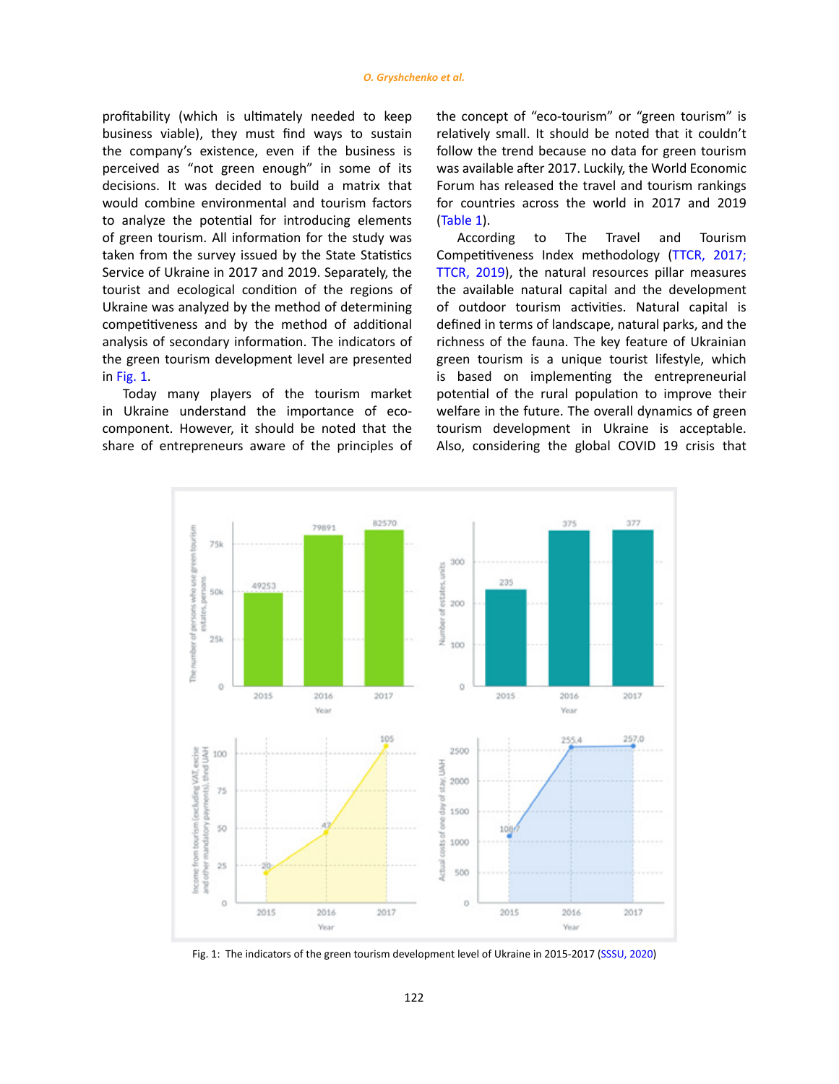profitability (which is ultimately needed to keep business viable), they must find ways to sustain the company's existence, even if the business is perceived as "not green enough" in some of its decisions. It was decided to build a matrix that would combine environmental and tourism factors to analyze the potential for introducing elements of green tourism. All information for the study was taken from the survey issued by the State Statistics Service of Ukraine in 2017 and 2019. Separately, the tourist and ecological condition of the regions of Ukraine was analyzed by the method of determining competitiveness and by the method of additional analysis of secondary information. The indicators of the green tourism development level are presented in Fig. 1.

Today many players of the tourism market in Ukraine understand the importance of ecocomponent. However, it should be noted that the share of entrepreneurs aware of the principles of the concept of "eco-tourism" or "green tourism" is relatively small. It should be noted that it couldn't follow the trend because no data for green tourism was available after 2017. Luckily, the World Economic Forum has released the travel and tourism rankings for countries across the world in 2017 and 2019 ([Table 1](#page-6-0)).

According to The Travel and Tourism Competitiveness Index methodology [\(TTCR, 2017;](#page-14-0) [TTCR, 2019\),](#page-14-0) the natural resources pillar measures the available natural capital and the development of outdoor tourism activities. Natural capital is defined in terms of landscape, natural parks, and the richness of the fauna. The key feature of Ukrainian green tourism is a unique tourist lifestyle, which is based on implementing the entrepreneurial potential of the rural population to improve their welfare in the future. The overall dynamics of green tourism development in Ukraine is acceptable. Also, considering the global COVID 19 crisis that



Fig. 1: The indicators of the green tourism development level of Ukraine in 2015-2017 (SSSU, 2020)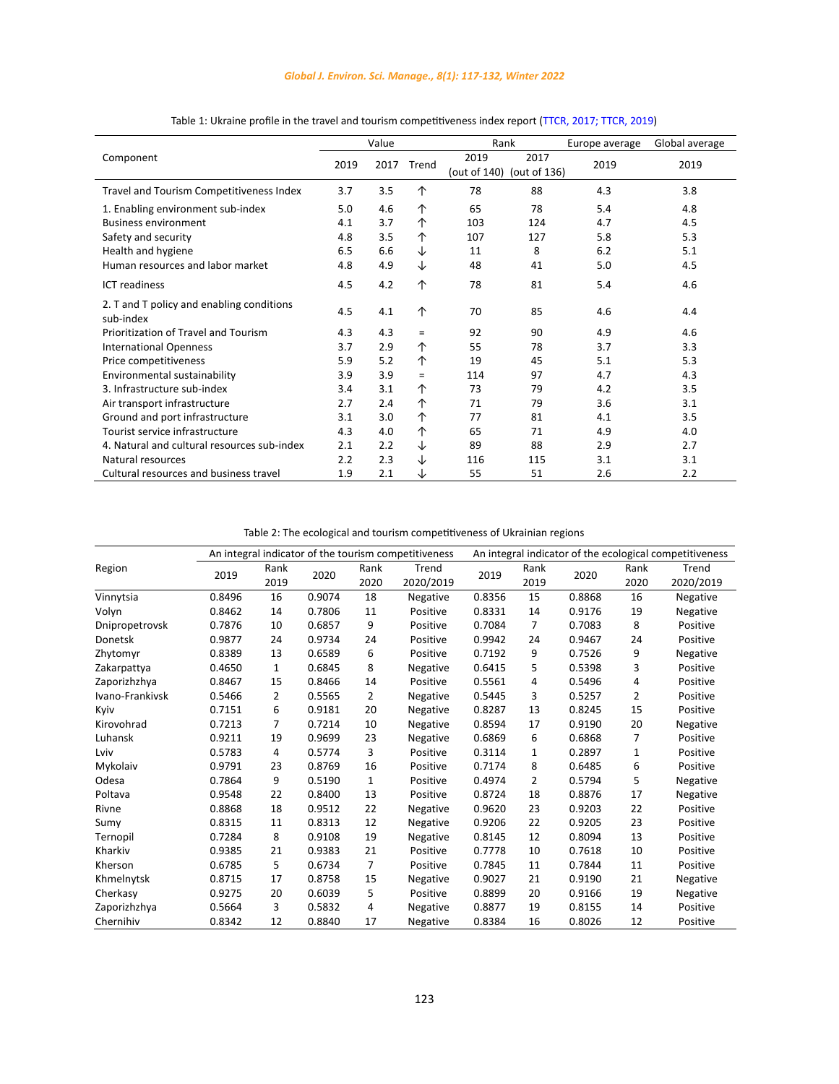## *Global J. Environ. Sci. Manage., 8(1): 117-132, Winter 2022*

<span id="page-6-0"></span>

|                                                        |      | Value |       | Rank                 |                      | Europe average | Global average |
|--------------------------------------------------------|------|-------|-------|----------------------|----------------------|----------------|----------------|
| Component                                              | 2019 | 2017  | Trend | 2019<br>(out of 140) | 2017<br>(out of 136) | 2019           | 2019           |
| Travel and Tourism Competitiveness Index               | 3.7  | 3.5   | ↑     | 78                   | 88                   | 4.3            | 3.8            |
| 1. Enabling environment sub-index                      | 5.0  | 4.6   | 个     | 65                   | 78                   | 5.4            | 4.8            |
| <b>Business environment</b>                            | 4.1  | 3.7   | ↑     | 103                  | 124                  | 4.7            | 4.5            |
| Safety and security                                    | 4.8  | 3.5   | ↑     | 107                  | 127                  | 5.8            | 5.3            |
| Health and hygiene                                     | 6.5  | 6.6   | ↓     | 11                   | 8                    | 6.2            | 5.1            |
| Human resources and labor market                       | 4.8  | 4.9   | ↓     | 48                   | 41                   | 5.0            | 4.5            |
| <b>ICT</b> readiness                                   | 4.5  | 4.2   | ↑     | 78                   | 81                   | 5.4            | 4.6            |
| 2. T and T policy and enabling conditions<br>sub-index | 4.5  | 4.1   | ↑     | 70                   | 85                   | 4.6            | 4.4            |
| Prioritization of Travel and Tourism                   | 4.3  | 4.3   | $=$   | 92                   | 90                   | 4.9            | 4.6            |
| <b>International Openness</b>                          | 3.7  | 2.9   | ↑     | 55                   | 78                   | 3.7            | 3.3            |
| Price competitiveness                                  | 5.9  | 5.2   | ↑     | 19                   | 45                   | 5.1            | 5.3            |
| Environmental sustainability                           | 3.9  | 3.9   | $=$   | 114                  | 97                   | 4.7            | 4.3            |
| 3. Infrastructure sub-index                            | 3.4  | 3.1   | 个     | 73                   | 79                   | 4.2            | 3.5            |
| Air transport infrastructure                           | 2.7  | 2.4   | 个     | 71                   | 79                   | 3.6            | 3.1            |
| Ground and port infrastructure                         | 3.1  | 3.0   | 个     | 77                   | 81                   | 4.1            | 3.5            |
| Tourist service infrastructure                         | 4.3  | 4.0   | ↑     | 65                   | 71                   | 4.9            | 4.0            |
| 4. Natural and cultural resources sub-index            | 2.1  | 2.2   | ↓     | 89                   | 88                   | 2.9            | 2.7            |
| Natural resources                                      | 2.2  | 2.3   | ↓     | 116                  | 115                  | 3.1            | 3.1            |
| Cultural resources and business travel                 | 1.9  | 2.1   | ↓     | 55                   | 51                   | 2.6            | 2.2            |

Table 1: Ukraine profile in the travel and tourism competitiveness index report (TTCR, 2017; TTCR, 2019) Table 1: Ukraine profile in the travel and tourism competitiveness index report (TTCR, 2017; TTCR, 2019)

Table 2: The ecological and tourism competitiveness of Ukrainian regions Table 2: The ecological and tourism competitiveness of Ukrainian regions

|                 | An integral indicator of the tourism competitiveness |                |        |                | An integral indicator of the ecological competitiveness |        |                |        |              |                    |
|-----------------|------------------------------------------------------|----------------|--------|----------------|---------------------------------------------------------|--------|----------------|--------|--------------|--------------------|
| Region          | 2019                                                 | Rank<br>2019   | 2020   | Rank<br>2020   | Trend<br>2020/2019                                      | 2019   | Rank<br>2019   | 2020   | Rank<br>2020 | Trend<br>2020/2019 |
| Vinnytsia       | 0.8496                                               | 16             | 0.9074 | 18             | Negative                                                | 0.8356 | 15             | 0.8868 | 16           | Negative           |
| Volyn           | 0.8462                                               | 14             | 0.7806 | 11             | Positive                                                | 0.8331 | 14             | 0.9176 | 19           | Negative           |
| Dnipropetrovsk  | 0.7876                                               | 10             | 0.6857 | 9              | Positive                                                | 0.7084 | $\overline{7}$ | 0.7083 | 8            | Positive           |
| <b>Donetsk</b>  | 0.9877                                               | 24             | 0.9734 | 24             | Positive                                                | 0.9942 | 24             | 0.9467 | 24           | Positive           |
| Zhytomyr        | 0.8389                                               | 13             | 0.6589 | 6              | Positive                                                | 0.7192 | 9              | 0.7526 | 9            | Negative           |
| Zakarpattya     | 0.4650                                               | 1              | 0.6845 | 8              | Negative                                                | 0.6415 | 5              | 0.5398 | 3            | Positive           |
| Zaporizhzhya    | 0.8467                                               | 15             | 0.8466 | 14             | Positive                                                | 0.5561 | 4              | 0.5496 | 4            | Positive           |
| Ivano-Frankivsk | 0.5466                                               | $\overline{2}$ | 0.5565 | $\overline{2}$ | Negative                                                | 0.5445 | 3              | 0.5257 | 2            | Positive           |
| Kyiv            | 0.7151                                               | 6              | 0.9181 | 20             | Negative                                                | 0.8287 | 13             | 0.8245 | 15           | Positive           |
| Kirovohrad      | 0.7213                                               | $\overline{7}$ | 0.7214 | 10             | Negative                                                | 0.8594 | 17             | 0.9190 | 20           | Negative           |
| Luhansk         | 0.9211                                               | 19             | 0.9699 | 23             | Negative                                                | 0.6869 | 6              | 0.6868 | 7            | Positive           |
| Lviv            | 0.5783                                               | 4              | 0.5774 | 3              | Positive                                                | 0.3114 | $\mathbf{1}$   | 0.2897 | $\mathbf{1}$ | Positive           |
| Mykolaiv        | 0.9791                                               | 23             | 0.8769 | 16             | Positive                                                | 0.7174 | 8              | 0.6485 | 6            | Positive           |
| Odesa           | 0.7864                                               | 9              | 0.5190 | 1              | Positive                                                | 0.4974 | $\overline{2}$ | 0.5794 | 5            | Negative           |
| Poltava         | 0.9548                                               | 22             | 0.8400 | 13             | Positive                                                | 0.8724 | 18             | 0.8876 | 17           | Negative           |
| Rivne           | 0.8868                                               | 18             | 0.9512 | 22             | Negative                                                | 0.9620 | 23             | 0.9203 | 22           | Positive           |
| Sumy            | 0.8315                                               | 11             | 0.8313 | 12             | Negative                                                | 0.9206 | 22             | 0.9205 | 23           | Positive           |
| Ternopil        | 0.7284                                               | 8              | 0.9108 | 19             | Negative                                                | 0.8145 | 12             | 0.8094 | 13           | Positive           |
| Kharkiv         | 0.9385                                               | 21             | 0.9383 | 21             | Positive                                                | 0.7778 | 10             | 0.7618 | 10           | Positive           |
| Kherson         | 0.6785                                               | 5              | 0.6734 | 7              | Positive                                                | 0.7845 | 11             | 0.7844 | 11           | Positive           |
| Khmelnytsk      | 0.8715                                               | 17             | 0.8758 | 15             | Negative                                                | 0.9027 | 21             | 0.9190 | 21           | Negative           |
| Cherkasy        | 0.9275                                               | 20             | 0.6039 | 5              | Positive                                                | 0.8899 | 20             | 0.9166 | 19           | Negative           |
| Zaporizhzhya    | 0.5664                                               | 3              | 0.5832 | 4              | Negative                                                | 0.8877 | 19             | 0.8155 | 14           | Positive           |
| Chernihiv       | 0.8342                                               | 12             | 0.8840 | 17             | Negative                                                | 0.8384 | 16             | 0.8026 | 12           | Positive           |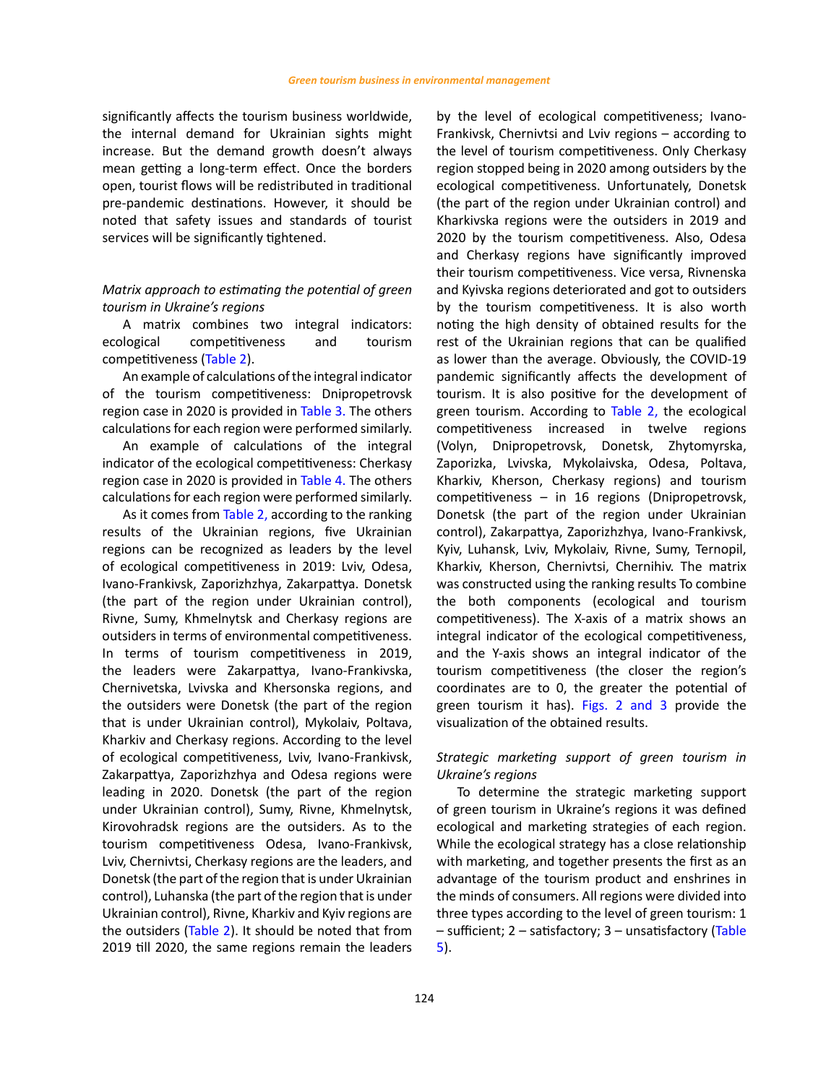significantly affects the tourism business worldwide, the internal demand for Ukrainian sights might increase. But the demand growth [doesn't always](https://context.reverso.net/перевод/английский-русский/doesn)  [mean](https://context.reverso.net/перевод/английский-русский/doesn) getting a long-term effect. Once the borders open, tourist flows will be redistributed in traditional pre-pandemic destinations. However, it should be noted that safety issues and standards of tourist services will be significantly tightened.

# *Matrix approach to estimating the potential of green tourism in Ukraine's regions*

A matrix combines two integral indicators: ecological competitiveness and tourism competitivenes[s \(Table 2\).](#page-6-0) 

An example of calculations of the integral indicator of the tourism competitiveness: Dnipropetrovsk region case in 2020 is provided in [Table 3](#page-8-0). The others calculations for each region were performed similarly.

An example of calculations of the integral indicator of the ecological competitiveness: Cherkasy region case in 2020 is provided in [Table 4.](#page-9-0) The others calculations for each region were performed similarly.

As it comes from [Table 2](#page-6-0), according to the ranking results of the Ukrainian regions, five Ukrainian regions can be recognized as leaders by the level of ecological competitiveness in 2019: Lviv, Odesa, Ivano-Frankivsk, Zaporizhzhya, Zakarpattya. Donetsk (the part of the region under Ukrainian control), Rivne, Sumy, Khmelnytsk and Cherkasy regions are outsiders in terms of environmental competitiveness. In terms of tourism competitiveness in 2019, the leaders were Zakarpattya, Ivano-Frankivska, Chernivetska, Lvivska and Khersonska regions, and the outsiders were Donetsk (the part of the region that is under Ukrainian control), Mykolaiv, Poltava, Kharkiv and Cherkasy regions. According to the level of ecological competitiveness, Lviv, Ivano-Frankivsk, Zakarpattya, Zaporizhzhya and Odesa regions were leading in 2020. Donetsk (the part of the region under Ukrainian control), Sumy, Rivne, Khmelnytsk, Kirovohradsk regions are the outsiders. As to the tourism competitiveness Odesa, Ivano-Frankivsk, Lviv, Chernivtsi, Cherkasy regions are the leaders, and Donetsk (the part of the region that is under Ukrainian control), Luhanska (the part of the region that is under Ukrainian control), Rivne, Kharkiv and Kyiv regions are the outsiders ([Table 2\).](#page-6-0) It should be noted that from 2019 till 2020, the same regions remain the leaders

by the level of ecological competitiveness; Ivano-Frankivsk, Chernivtsi and Lviv regions – according to the level of tourism competitiveness. Only Cherkasy region stopped being in 2020 among outsiders by the ecological competitiveness. Unfortunately, Donetsk (the part of the region under Ukrainian control) and Kharkivska regions were the outsiders in 2019 and 2020 by the tourism competitiveness. Also, Odesa and Cherkasy regions have significantly improved their tourism competitiveness. Vice versa, Rivnenska and Kyivska regions deteriorated and got to outsiders by the tourism competitiveness. It is also worth noting the high density of obtained results for the rest of the Ukrainian regions that can be qualified as lower than the average. Obviously, the COVID-19 pandemic significantly affects the development of tourism. It is also positive for the development of green tourism. According to [Table 2,](#page-6-0) the ecological competitiveness increased in twelve regions (Volyn, Dnipropetrovsk, Donetsk, Zhytomyrska, Zaporizka, Lvivska, Mykolaivska, Odesa, Poltava, Kharkiv, Kherson, Cherkasy regions) and tourism competitiveness – in 16 regions (Dnipropetrovsk, Donetsk (the part of the region under Ukrainian control), Zakarpattya, Zaporizhzhya, Ivano-Frankivsk, Kyiv, Luhansk, Lviv, Mykolaiv, Rivne, Sumy, Ternopil, Kharkiv, Kherson, Chernivtsi, Chernihiv. The matrix was constructed using the ranking results To combine the both components (ecological and tourism competitiveness). The X-axis of a matrix shows an integral indicator of the ecological competitiveness, and the Y-axis shows an integral indicator of the tourism competitiveness (the closer the region's coordinates are to 0, the greater the potential of green tourism it has). [Figs. 2](#page-10-0) [and 3](#page-11-0) provide the visualization of the obtained results.

# *Strategic marketing support of green tourism in Ukraine's regions*

To determine the strategic marketing support of green tourism in Ukraine's regions it was defined ecological and marketing strategies of each region. While the ecological strategy has a close relationship with marketing, and together presents the first as an advantage of the tourism product and enshrines in the minds of consumers. All regions were divided into three types according to the level of green tourism: 1 – sufficient; 2 – satisfactory; 3 – unsatisfactory [\(Table](#page-12-0) 5[\).](#page-12-0)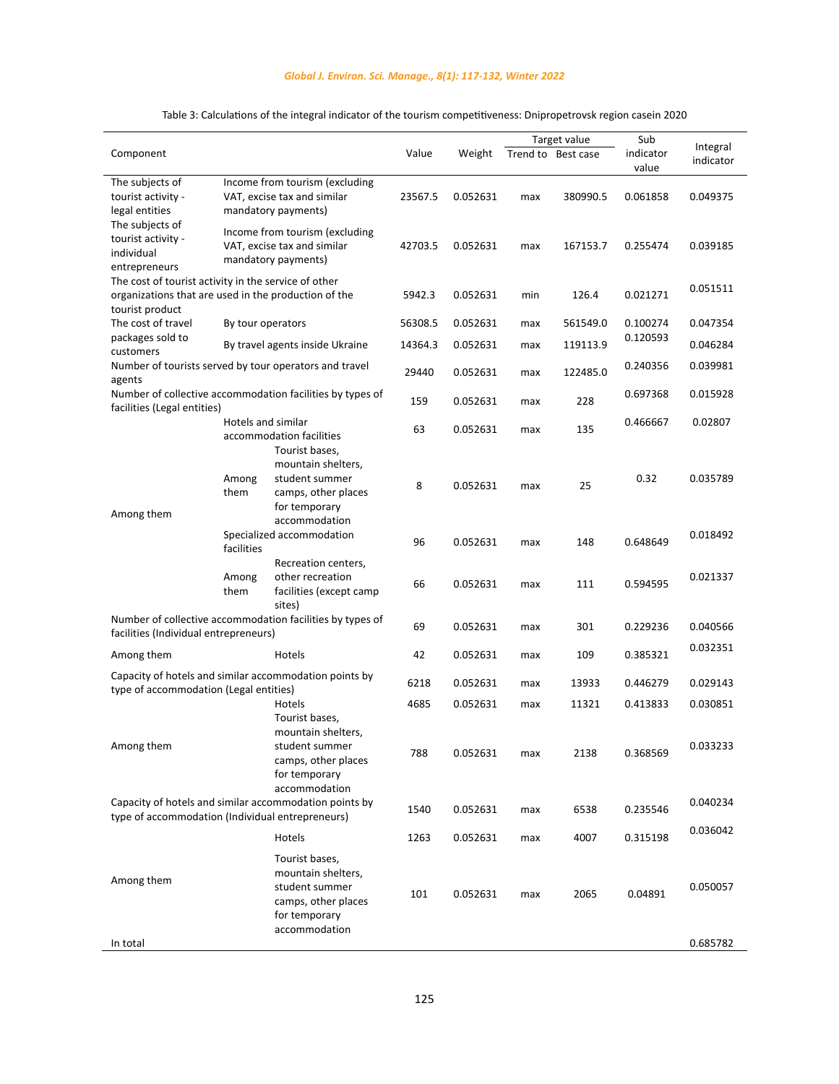## *Global J. Environ. Sci. Manage., 8(1): 117-132, Winter 2022*

<span id="page-8-0"></span>

|                                                                                                              |               |                                                                                                |         |          |     | Target value       | Sub                |                       |
|--------------------------------------------------------------------------------------------------------------|---------------|------------------------------------------------------------------------------------------------|---------|----------|-----|--------------------|--------------------|-----------------------|
| Component                                                                                                    |               |                                                                                                | Value   | Weight   |     | Trend to Best case | indicator<br>value | Integral<br>indicator |
| The subjects of<br>tourist activity -<br>legal entities                                                      |               | Income from tourism (excluding<br>VAT, excise tax and similar<br>mandatory payments)           | 23567.5 | 0.052631 | max | 380990.5           | 0.061858           | 0.049375              |
| The subjects of<br>tourist activity -<br>individual<br>entrepreneurs                                         |               | Income from tourism (excluding<br>VAT, excise tax and similar<br>mandatory payments)           | 42703.5 | 0.052631 | max | 167153.7           | 0.255474           | 0.039185              |
| The cost of tourist activity in the service of other<br>organizations that are used in the production of the |               |                                                                                                | 5942.3  | 0.052631 | min | 126.4              | 0.021271           | 0.051511              |
| tourist product<br>The cost of travel                                                                        |               | By tour operators                                                                              | 56308.5 | 0.052631 | max | 561549.0           | 0.100274           | 0.047354              |
| packages sold to<br>customers                                                                                |               | By travel agents inside Ukraine                                                                | 14364.3 | 0.052631 | max | 119113.9           | 0.120593           | 0.046284              |
| agents                                                                                                       |               | Number of tourists served by tour operators and travel                                         | 29440   | 0.052631 | max | 122485.0           | 0.240356           | 0.039981              |
| facilities (Legal entities)                                                                                  |               | Number of collective accommodation facilities by types of                                      | 159     | 0.052631 | max | 228                | 0.697368           | 0.015928              |
|                                                                                                              |               | Hotels and similar<br>accommodation facilities                                                 | 63      | 0.052631 | max | 135                | 0.466667           | 0.02807               |
| Among them                                                                                                   | Among<br>them | Tourist bases,<br>mountain shelters,<br>student summer<br>camps, other places<br>for temporary | 8       | 0.052631 | max | 25                 | 0.32               | 0.035789              |
|                                                                                                              | facilities    | accommodation<br>Specialized accommodation                                                     | 96      | 0.052631 | max | 148                | 0.648649           | 0.018492              |
|                                                                                                              | Among<br>them | Recreation centers,<br>other recreation<br>facilities (except camp<br>sites)                   | 66      | 0.052631 | max | 111                | 0.594595           | 0.021337              |
| facilities (Individual entrepreneurs)                                                                        |               | Number of collective accommodation facilities by types of                                      | 69      | 0.052631 | max | 301                | 0.229236           | 0.040566              |
| Among them                                                                                                   |               | Hotels                                                                                         | 42      | 0.052631 | max | 109                | 0.385321           | 0.032351              |
| type of accommodation (Legal entities)                                                                       |               | Capacity of hotels and similar accommodation points by                                         | 6218    | 0.052631 | max | 13933              | 0.446279           | 0.029143              |
|                                                                                                              |               | Hotels<br>Tourist bases,                                                                       | 4685    | 0.052631 | max | 11321              | 0.413833           | 0.030851              |
| Among them                                                                                                   |               | mountain shelters,<br>student summer<br>camps, other places<br>for temporary                   | 788     | 0.052631 | max | 2138               | 0.368569           | 0.033233              |
| type of accommodation (Individual entrepreneurs)                                                             |               | accommodation<br>Capacity of hotels and similar accommodation points by                        | 1540    | 0.052631 | max | 6538               | 0.235546           | 0.040234              |
|                                                                                                              |               | Hotels                                                                                         | 1263    | 0.052631 | max | 4007               | 0.315198           | 0.036042              |
| Among them                                                                                                   |               | Tourist bases,<br>mountain shelters,<br>student summer<br>camps, other places<br>for temporary | 101     | 0.052631 | max | 2065               | 0.04891            | 0.050057              |
| In total                                                                                                     |               | accommodation                                                                                  |         |          |     |                    |                    | 0.685782              |

# Table 3: Calculations of the integral indicator of the tourism competitiveness: Dnipropetrovsk region casein 2020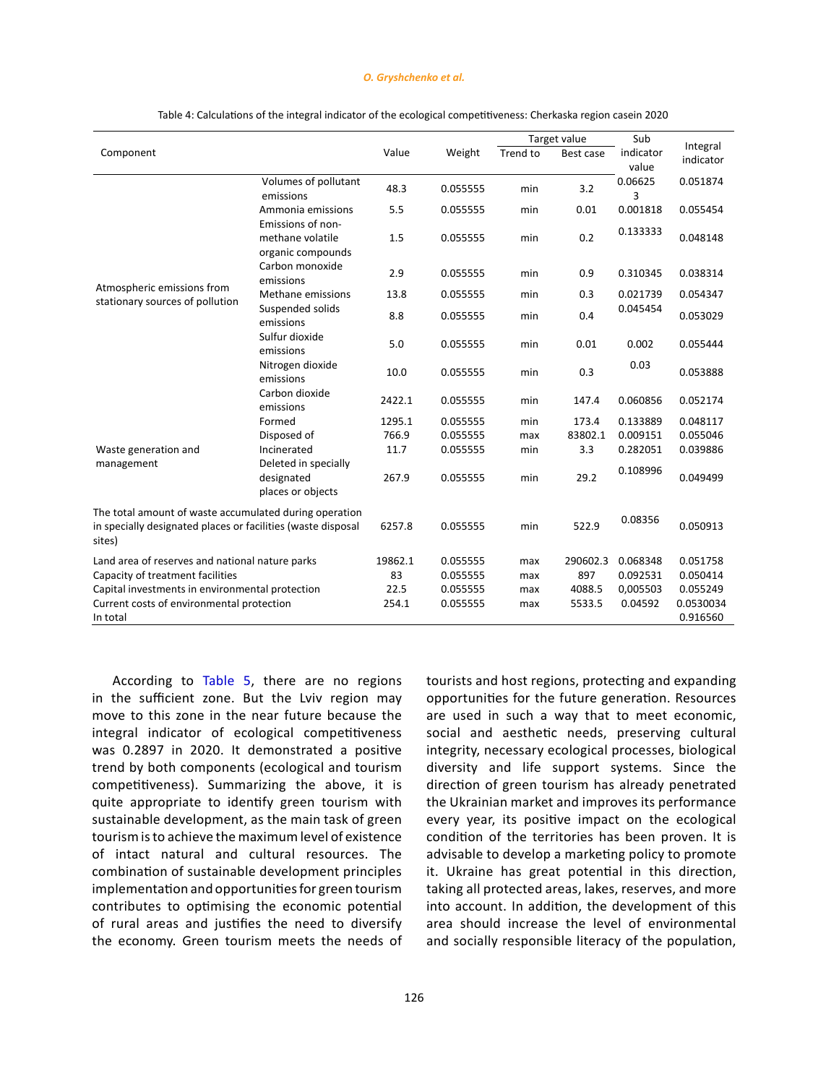#### *O. Gryshchenko et al.*

<span id="page-9-0"></span>

|                                                                                                                                  |                                                            |         |          |          | Target value | Sub                |                       |
|----------------------------------------------------------------------------------------------------------------------------------|------------------------------------------------------------|---------|----------|----------|--------------|--------------------|-----------------------|
| Component                                                                                                                        |                                                            | Value   | Weight   | Trend to | Best case    | indicator<br>value | Integral<br>indicator |
|                                                                                                                                  | Volumes of pollutant<br>emissions                          | 48.3    | 0.055555 | min      | 3.2          | 0.06625<br>3       | 0.051874              |
|                                                                                                                                  | Ammonia emissions                                          | 5.5     | 0.055555 | min      | 0.01         | 0.001818           | 0.055454              |
|                                                                                                                                  | Emissions of non-<br>methane volatile<br>organic compounds | 1.5     | 0.055555 | min      | 0.2          | 0.133333           | 0.048148              |
|                                                                                                                                  | Carbon monoxide<br>emissions                               | 2.9     | 0.055555 | min      | 0.9          | 0.310345           | 0.038314              |
| Atmospheric emissions from<br>stationary sources of pollution                                                                    | Methane emissions                                          | 13.8    | 0.055555 | min      | 0.3          | 0.021739           | 0.054347              |
|                                                                                                                                  | Suspended solids<br>emissions                              | 8.8     | 0.055555 | min      | 0.4          | 0.045454           | 0.053029              |
|                                                                                                                                  | Sulfur dioxide<br>emissions                                | 5.0     | 0.055555 | min      | 0.01         | 0.002              | 0.055444              |
|                                                                                                                                  | Nitrogen dioxide<br>emissions                              | 10.0    | 0.055555 | min      | 0.3          | 0.03               | 0.053888              |
|                                                                                                                                  | Carbon dioxide<br>emissions                                | 2422.1  | 0.055555 | min      | 147.4        | 0.060856           | 0.052174              |
|                                                                                                                                  | Formed                                                     | 1295.1  | 0.055555 | min      | 173.4        | 0.133889           | 0.048117              |
|                                                                                                                                  | Disposed of                                                | 766.9   | 0.055555 | max      | 83802.1      | 0.009151           | 0.055046              |
| Waste generation and                                                                                                             | Incinerated                                                | 11.7    | 0.055555 | min      | 3.3          | 0.282051           | 0.039886              |
| management                                                                                                                       | Deleted in specially<br>designated<br>places or objects    | 267.9   | 0.055555 | min      | 29.2         | 0.108996           | 0.049499              |
| The total amount of waste accumulated during operation<br>in specially designated places or facilities (waste disposal<br>sites) |                                                            | 6257.8  | 0.055555 | min      | 522.9        | 0.08356            | 0.050913              |
| Land area of reserves and national nature parks                                                                                  |                                                            | 19862.1 | 0.055555 | max      | 290602.3     | 0.068348           | 0.051758              |
| Capacity of treatment facilities                                                                                                 |                                                            | 83      | 0.055555 | max      | 897          | 0.092531           | 0.050414              |
| Capital investments in environmental protection                                                                                  |                                                            | 22.5    | 0.055555 | max      | 4088.5       | 0,005503           | 0.055249              |
| Current costs of environmental protection<br>In total                                                                            |                                                            | 254.1   | 0.055555 | max      | 5533.5       | 0.04592            | 0.0530034<br>0.916560 |

Table 4: Calculations of the integral indicator of the ecological competitiveness: Cherkaska region casein 2020 Table 4: Calculations of the integral indicator of the ecological competitiveness: Cherkaska region casein 2020

According to [Table 5,](#page-12-0) there are no regions in the sufficient zone. But the Lviv region may move to this zone in the near future because the integral indicator of ecological competitiveness was 0.2897 in 2020. It demonstrated a positive trend by both components (ecological and tourism competitiveness). Summarizing the above, it is quite appropriate to identify green tourism with sustainable development, as the main task of green tourism is to achieve the maximum level of existence of intact natural and cultural resources. The combination of sustainable development principles implementation and opportunities for green tourism contributes to optimising the economic potential of rural areas and justifies the need to diversify the economy. Green tourism meets the needs of tourists and host regions, protecting and expanding opportunities for the future generation. Resources are used in such a way that to meet economic, social and aesthetic needs, preserving cultural integrity, necessary ecological processes, biological diversity and life support systems. Since the direction of green tourism has already penetrated the Ukrainian market and improves its performance every year, its positive impact on the ecological condition of the territories has been proven. It is advisable to develop a marketing policy to promote it. Ukraine has great potential in this direction, taking all protected areas, lakes, reserves, and more into account. In addition, the development of this area should increase the level of environmental and socially responsible literacy of the population,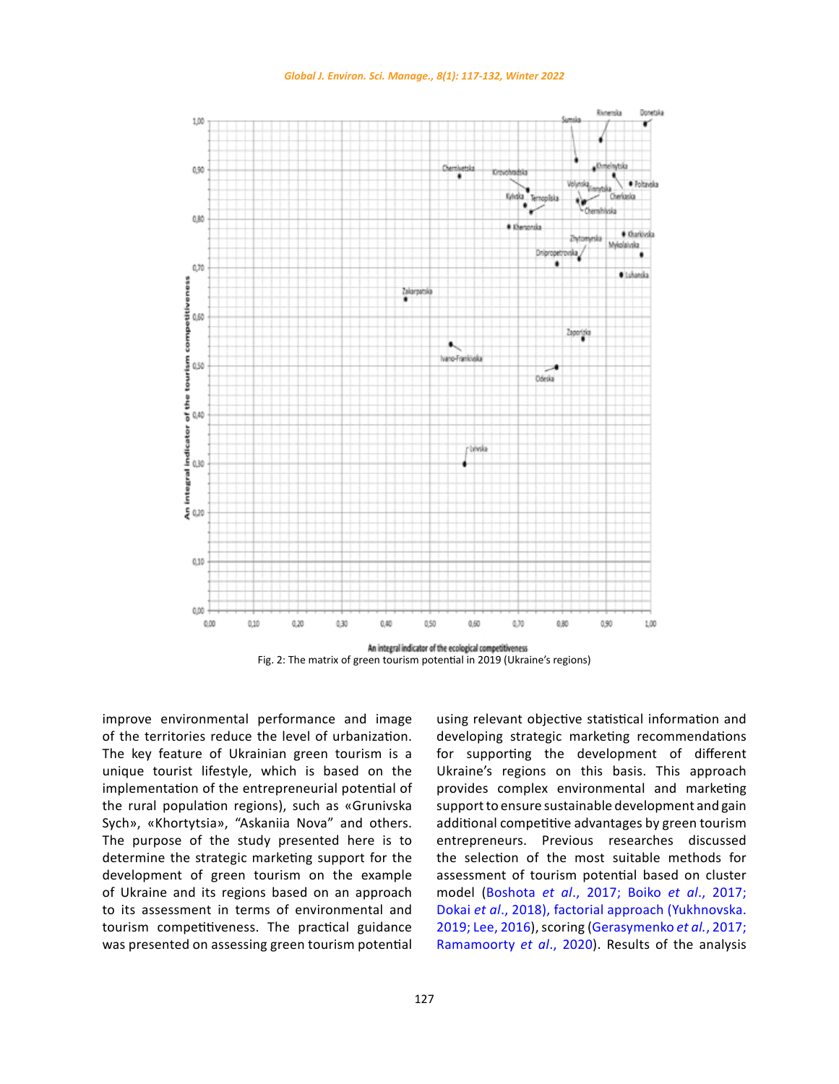

<span id="page-10-0"></span>

An integral indicator of the ecological competitiveness Fig. 2: The matrix of green tourism potential in 2019 (Ukraine's regions)

improve environmental performance and image of the territories reduce the level of urbanization. The key feature of Ukrainian green tourism is a unique tourist lifestyle, which is based on the implementation of the entrepreneurial potential of the rural population regions), such as «Grunivska Sych», «Khortytsia», "Askaniia Nova" and others. The purpose of the study presented here is to determine the strategic marketing support for the development of green tourism on the example of Ukraine and its regions based on an approach to its assessment in terms of environmental and tourism competitiveness. The practical guidance was presented on assessing green tourism potential

using relevant objective statistical information and developing strategic marketing recommendations for supporting the development of different Ukraine's regions on this basis. This approach provides complex environmental and marketing support to ensure sustainable development and gain additional competitive advantages by green tourism entrepreneurs. Previous researches discussed the selection of the most suitable methods for assessment of tourism potential based on cluster model (Boshota *et al*[., 2017; Boiko](#page-14-0) *et al*., 2017; Dokai *et al*[., 2018\), factorial approach \(Yukhnovska.](#page-14-0) [2019; Lee, 2016\), scoring \(Gerasymenko](#page-14-0) *et al.*, 2017; [Ramamoorty](#page-14-0) *et al*., 2020). Results of the analysis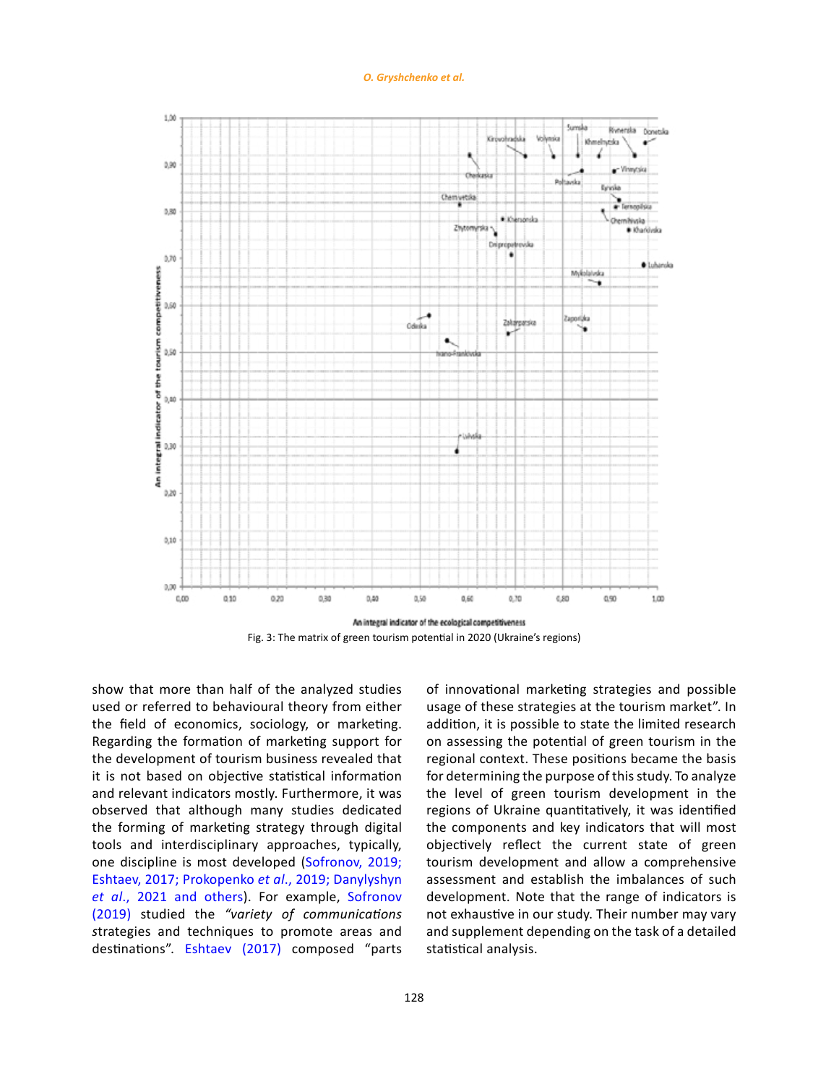*O. Gryshchenko et al.*

<span id="page-11-0"></span>

Fig. 3: The matrix of green tourism potential in 2020 (Ukraine's regions)

show that more than half of the analyzed studies used or referred to behavioural theory from either the field of economics, sociology, or marketing. Regarding the formation of marketing support for the development of tourism business revealed that it is not based on objective statistical information and relevant indicators mostly. Furthermore, it was observed that although many studies dedicated the forming of marketing strategy through digital tools and interdisciplinary approaches, typically, one discipline is most developed ([Sofronov, 2019;](#page-14-0)  [Eshtaev, 2017; Prokopenko](#page-14-0) *et al*., 2019; Danylyshyn *et al*[., 2021 and others\).](#page-14-0) For example, [Sofronov](#page-14-0)  [\(2019\)](#page-14-0) studied the *"variety of communications s*trategies and techniques to promote areas and destinations". [Eshtaev \(2017\)](#page-14-0) composed "parts

of innovational marketing strategies and possible usage of these strategies at the tourism market". In addition, it is possible to state the limited research on assessing the potential of green tourism in the regional context. These positions became the basis for determining the purpose of this study. To analyze the level of green tourism development in the regions of Ukraine quantitatively, it was identified the components and key indicators that will most objectively reflect the current state of green tourism development and allow a comprehensive assessment and establish the imbalances of such development. Note that the range of indicators is not exhaustive in our study. Their number may vary and supplement depending on the task of a detailed statistical analysis.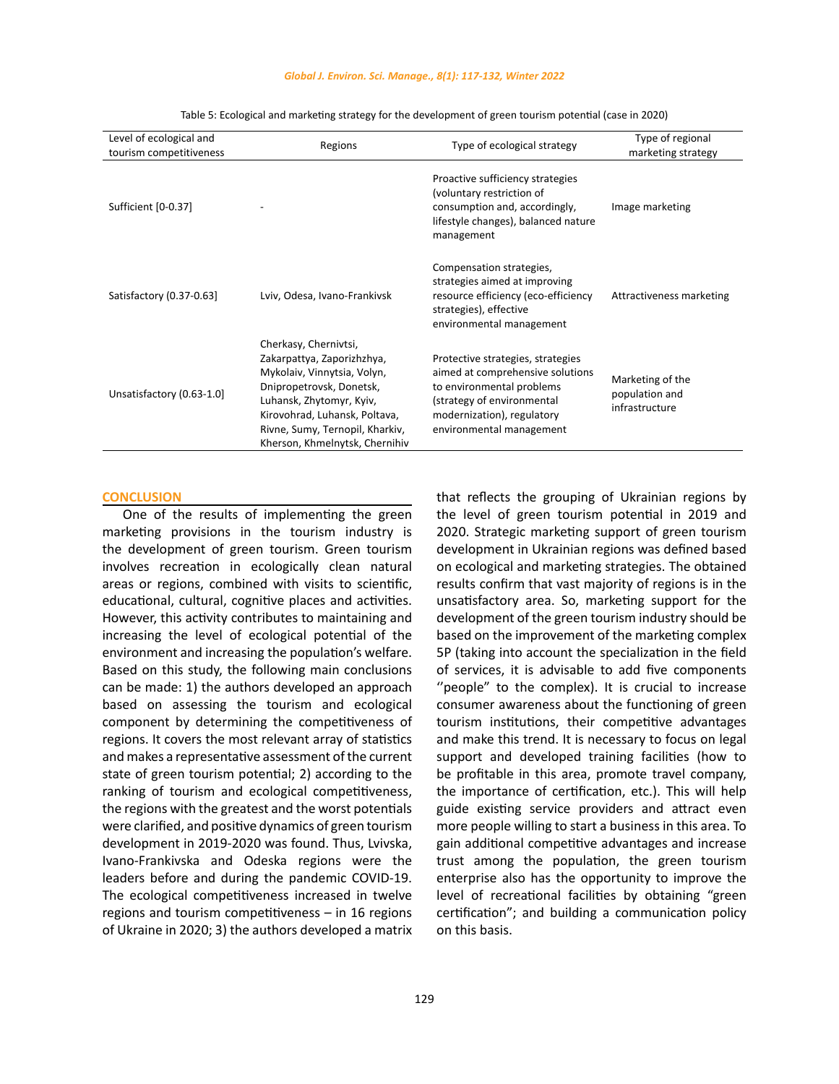#### *Global J. Environ. Sci. Manage., 8(1): 117-132, Winter 2022*

<span id="page-12-0"></span>

| Level of ecological and<br>tourism competitiveness | Regions                                                                                                                                                                                                                                          | Type of ecological strategy                                                                                                                                                                | Type of regional<br>marketing strategy               |
|----------------------------------------------------|--------------------------------------------------------------------------------------------------------------------------------------------------------------------------------------------------------------------------------------------------|--------------------------------------------------------------------------------------------------------------------------------------------------------------------------------------------|------------------------------------------------------|
| Sufficient [0-0.37]                                |                                                                                                                                                                                                                                                  | Proactive sufficiency strategies<br>(voluntary restriction of<br>consumption and, accordingly,<br>lifestyle changes), balanced nature<br>management                                        | Image marketing                                      |
| Satisfactory (0.37-0.63)                           | Lviv, Odesa, Ivano-Frankivsk                                                                                                                                                                                                                     | Compensation strategies,<br>strategies aimed at improving<br>resource efficiency (eco-efficiency<br>strategies), effective<br>environmental management                                     | Attractiveness marketing                             |
| Unsatisfactory (0.63-1.0]                          | Cherkasy, Chernivtsi,<br>Zakarpattya, Zaporizhzhya,<br>Mykolaiv, Vinnytsia, Volyn,<br>Dnipropetrovsk, Donetsk,<br>Luhansk, Zhytomyr, Kyiv,<br>Kirovohrad, Luhansk, Poltava,<br>Rivne, Sumy, Ternopil, Kharkiv,<br>Kherson, Khmelnytsk, Chernihiv | Protective strategies, strategies<br>aimed at comprehensive solutions<br>to environmental problems<br>(strategy of environmental<br>modernization), regulatory<br>environmental management | Marketing of the<br>population and<br>infrastructure |

Table 5: Ecological and marketing strategy for the development of green tourism potential (case in 2020)

#### **CONCLUSION**

One of the results of implementing the green marketing provisions in the tourism industry is the development of green tourism. Green tourism involves recreation in ecologically clean natural areas or regions, combined with visits to scientific, educational, cultural, cognitive places and activities. However, this activity contributes to maintaining and increasing the level of ecological potential of the environment and increasing the population's welfare. Based on this study, the following main conclusions can be made: 1) the authors developed an approach based on assessing the tourism and ecological component by determining the competitiveness of regions. It covers the most relevant array of statistics and makes a representative assessment of the current state of green tourism potential; 2) according to the ranking of tourism and ecological competitiveness, the regions with the greatest and the worst potentials were clarified, and positive dynamics of green tourism development in 2019-2020 was found. Thus, Lvivska, Ivano-Frankivska and Odeska regions were the leaders before and during the pandemic COVID-19. The ecological competitiveness increased in twelve regions and tourism competitiveness – in 16 regions of Ukraine in 2020; 3) the authors developed a matrix that reflects the grouping of Ukrainian regions by the level of green tourism potential in 2019 and 2020. Strategic marketing support of green tourism development in Ukrainian regions was defined based on ecological and marketing strategies. The obtained results confirm that vast majority of regions is in the unsatisfactory area. So, marketing support for the development of the green tourism industry should be based on the improvement of the marketing complex 5P (taking into account the specialization in the field of services, it is advisable to add five components "people" to the complex). It is crucial to increase consumer awareness about the functioning of green tourism institutions, their competitive advantages and make this trend. It is necessary to focus on legal support and developed training facilities (how to be profitable in this area, promote travel company, the importance of certification, etc.). This will help guide existing service providers and attract even more people willing to start a business in this area. To gain additional competitive advantages and increase trust among the population, the green tourism enterprise also has the opportunity to improve the level of recreational facilities by obtaining "green certification"; and building a communication policy on this basis.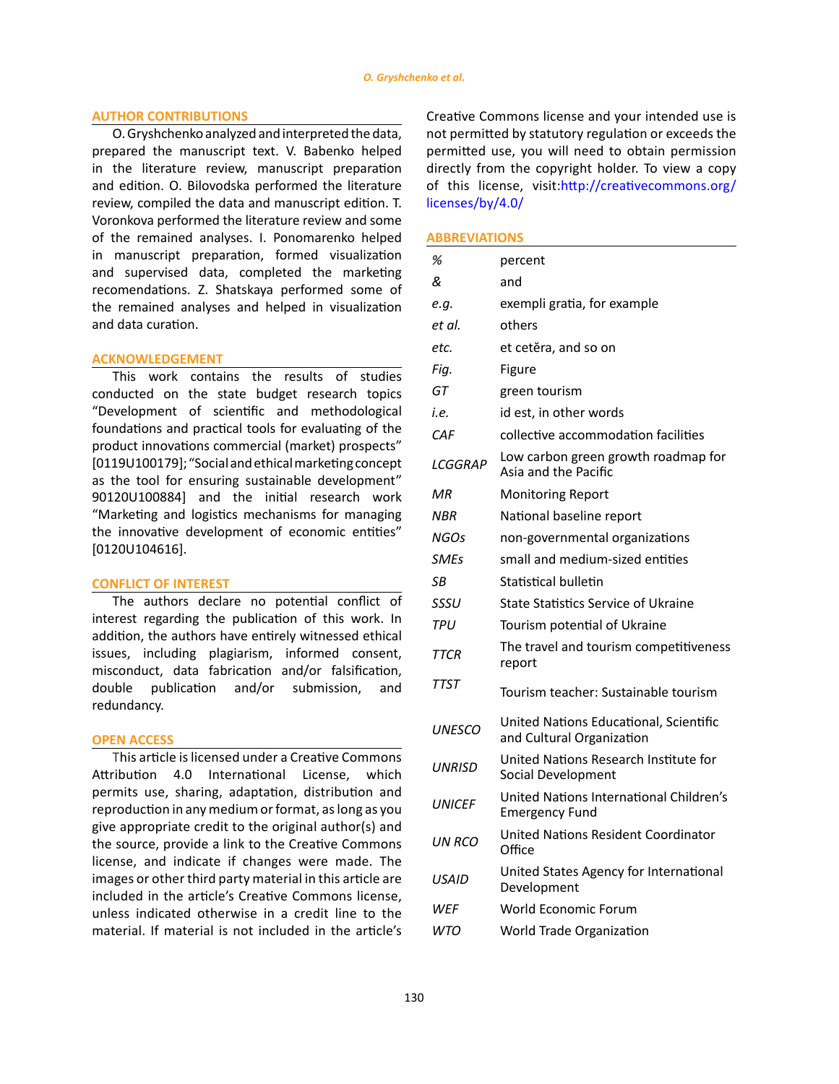### **AUTHOR CONTRIBUTIONS**

O. Gryshchenko analyzed and interpreted the data, prepared the manuscript text. V. Babenko helped in the literature review, manuscript preparation and edition. O. Bilovodska performed the literature review, compiled the data and manuscript edition. T. Voronkova performed the literature review and some of the remained analyses. I. Ponomarenko helped in manuscript preparation, formed visualization and supervised data, completed the marketing recomendations. Z. Shatskaya performed some of the remained analyses and helped in visualization and data curation.

### **ACKNOWLEDGEMENT**

This work contains the results of studies conducted on the state budget research topics "Development of scientific and methodological foundations and practical tools for evaluating of the product innovations commercial (market) prospects" [0119U100179]; "Social and ethical marketing concept as the tool for ensuring sustainable development" 90120U100884] and the initial research work "Marketing and logistics mechanisms for managing the innovative development of economic entities" [0120U104616].

### **CONFLICT OF INTEREST**

The authors declare no potential conflict of interest regarding the publication of this work. In addition, the authors have entirely witnessed ethical issues, including plagiarism, informed consent, misconduct, data fabrication and/or falsification, double publication and/or submission, and redundancy.

### **OPEN ACCESS**

This article is licensed under a Creative Commons Attribution 4.0 International License, which permits use, sharing, adaptation, distribution and reproduction in any medium or format, as long as you give appropriate credit to the original author(s) and the source, provide a link to the Creative Commons license, and indicate if changes were made. The images or other third party material in this article are included in the article's Creative Commons license, unless indicated otherwise in a credit line to the material. If material is not included in the article's Creative Commons license and your intended use is not permitted by statutory regulation or exceeds the permitted use, you will need to obtain permission directly from the copyright holder. To view a copy of this license, visit:[http://creativecommons.org/](http://creativecommons.org/licenses/by/4.0/) [licenses/by/4.0/](http://creativecommons.org/licenses/by/4.0/)

### **ABBREVIATIONS**

| %             | percent                                                             |
|---------------|---------------------------------------------------------------------|
| &             | and                                                                 |
| e.g.          | exempli gratia, for example                                         |
| et al.        | others                                                              |
| etc.          | et cetĕra, and so on                                                |
| Fiq.          | Figure                                                              |
| GT            | green tourism                                                       |
| i.e.          | id est, in other words                                              |
| CAF           | collective accommodation facilities                                 |
| LCGGRAP       | Low carbon green growth roadmap for<br>Asia and the Pacific         |
| МR            | <b>Monitoring Report</b>                                            |
| <b>NBR</b>    | National baseline report                                            |
| NGOs          | non-governmental organizations                                      |
| <b>SMEs</b>   | small and medium-sized entities                                     |
| SB            | Statistical bulletin                                                |
| SSSU          | State Statistics Service of Ukraine                                 |
| <b>TPU</b>    | Tourism potential of Ukraine                                        |
| <b>TTCR</b>   | The travel and tourism competitiveness<br>report                    |
| <b>TTST</b>   | Tourism teacher: Sustainable tourism                                |
| <b>UNESCO</b> | United Nations Educational, Scientific<br>and Cultural Organization |
| UNRISD        | United Nations Research Institute for<br>Social Development         |
| <b>UNICFF</b> | United Nations International Children's<br><b>Emergency Fund</b>    |
| UN RCO        | <b>United Nations Resident Coordinator</b><br>Office                |
| <b>USAID</b>  | United States Agency for International<br>Development               |
| WEF           | World Economic Forum                                                |
| WTO           | World Trade Organization                                            |
|               |                                                                     |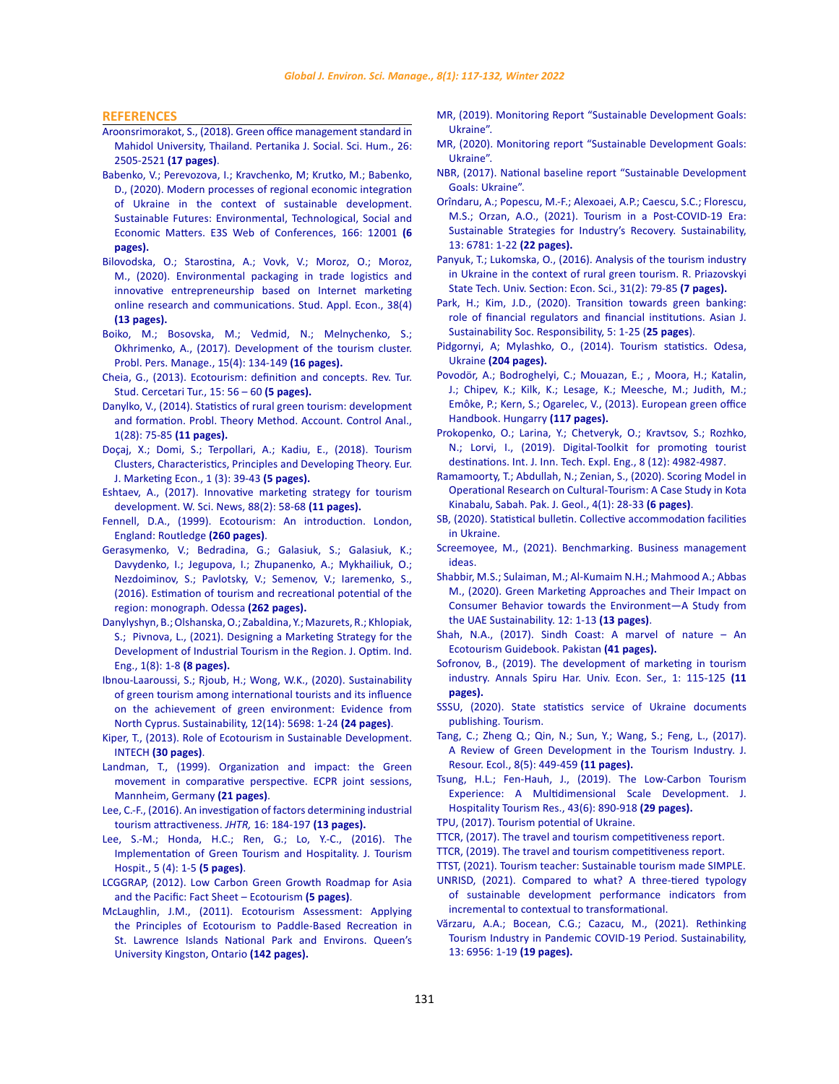<span id="page-14-0"></span>**REFERENCES**

- [Aroonsrimorakot, S., \(2018\). Green office management standard in](https://www.researchgate.net/publication/330655520_Green_office_management_standard_in_Mahidol_University_Thailand)  [Mahidol University, Thailand. Pertanika J. Social. Sci. Hum., 26:](https://www.researchgate.net/publication/330655520_Green_office_management_standard_in_Mahidol_University_Thailand)  [2505-2521](https://www.researchgate.net/publication/330655520_Green_office_management_standard_in_Mahidol_University_Thailand) **(17 pages)**.
- Babenko, V.; Perevozova, I.; [Kravchenko, M; Krutko, M.; Babenko,](https://www.researchgate.net/publication/340836604_Modern_processes_of_regional_economic_integration_of_Ukraine_in_the_context_of_sustainable_development)  [D., \(2020\). Modern processes of regional economic integration](https://www.researchgate.net/publication/340836604_Modern_processes_of_regional_economic_integration_of_Ukraine_in_the_context_of_sustainable_development)  [of Ukraine in the context of sustainable development.](https://www.researchgate.net/publication/340836604_Modern_processes_of_regional_economic_integration_of_Ukraine_in_the_context_of_sustainable_development)  [Sustainable Futures: Environmental, Technological, Social and](https://www.researchgate.net/publication/340836604_Modern_processes_of_regional_economic_integration_of_Ukraine_in_the_context_of_sustainable_development)  [Economic Matters. E3S Web of Conferences, 166:](https://www.researchgate.net/publication/340836604_Modern_processes_of_regional_economic_integration_of_Ukraine_in_the_context_of_sustainable_development) 12001 **(6 [pages\).](https://www.researchgate.net/publication/340836604_Modern_processes_of_regional_economic_integration_of_Ukraine_in_the_context_of_sustainable_development)**
- [Bilovodska, O.; Starostina, A.; Vovk, V.; Moroz, O.; Moroz,](http://ojs.ual.es/ojs/index.php/eea/article/view/3993)  [M., \(2020\). Environmental packaging in trade logistics and](http://ojs.ual.es/ojs/index.php/eea/article/view/3993)  [innovative entrepreneurship based on Internet marketing](http://ojs.ual.es/ojs/index.php/eea/article/view/3993)  [online research and communications. Stud. Appl. Econ., 38\(4\)](http://ojs.ual.es/ojs/index.php/eea/article/view/3993)  **[\(13 pages\).](http://ojs.ual.es/ojs/index.php/eea/article/view/3993)**
- [Boiko, M.; Bosovska, M.; Vedmid, N.; Melnychenko, S.;](https://www.businessperspectives.org/images/pdf/applications/publishing/templates/article/assets/9802/PPM_2017_04_Boiko.pdf)  [Okhrimenko, A., \(2017\). Development of the tourism cluster.](https://www.businessperspectives.org/images/pdf/applications/publishing/templates/article/assets/9802/PPM_2017_04_Boiko.pdf)  [Probl. Pers. Manage., 15\(4\): 134-149](https://www.businessperspectives.org/images/pdf/applications/publishing/templates/article/assets/9802/PPM_2017_04_Boiko.pdf) **(16 pages).**
- [Cheia, G., \(2013\). Ecotourism: definition and concepts. Rev. Tur.](http://www.revistadeturism.ro/rdt/article/view/44/97)  [Stud. Cercetari Tur., 15: 56 – 60](http://www.revistadeturism.ro/rdt/article/view/44/97) **(5 pages).**
- [Danylko, V., \(2014\). Statistics of rural green tourism: development](http://pbo.ztu.edu.ua/article/view/34251)  [and formation. Probl. Theory Method. Account. Control Anal.,](http://pbo.ztu.edu.ua/article/view/34251)  [1\(28\): 75-85](http://pbo.ztu.edu.ua/article/view/34251) **(11 pages).**
- [Doçaj, X.; Domi, S.; Terpollari, A.; Kadiu, E., \(2018\). Tourism](https://journals.euser.org/files/articles/ejme_v1_i3_18/Docaj.pdf)  [Clusters, Characteristics, Principles and Developing Theory. Eur.](https://journals.euser.org/files/articles/ejme_v1_i3_18/Docaj.pdf)  [J. Marketing Econ., 1 \(3\): 39-43](https://journals.euser.org/files/articles/ejme_v1_i3_18/Docaj.pdf) **(5 pages).**
- [Eshtaev, A., \(2017\). Innovative marketing strategy for tourism](http://www.worldscientificnews.com/wp-content/uploads/2017/08/WSN-882-2017-58-68.pdf)  [development. W. Sci. News, 88\(2\): 58-68](http://www.worldscientificnews.com/wp-content/uploads/2017/08/WSN-882-2017-58-68.pdf) **(11 pages).**
- Fennell, D.A., (1999). Ecotourism: An introduction. London, England: Routledge **(260 pages)**.
- [Gerasymenko, V.; Bedradina, G.; Galasiuk, S.; Galasiuk, K.;](http://dspace.oneu.edu.ua/jspui/bitstream/123456789/5474/1/Оцінка туристично-рекреаційного потенціалу регіону.pdf)  [Davydenko, I.; Jegupova, I.; Zhupanenko, A.; Mykhailiuk, O.;](http://dspace.oneu.edu.ua/jspui/bitstream/123456789/5474/1/Оцінка туристично-рекреаційного потенціалу регіону.pdf)  [Nezdoiminov, S.; Pavlotsky, V.; Semenov, V.; Iaremenko, S.,](http://dspace.oneu.edu.ua/jspui/bitstream/123456789/5474/1/Оцінка туристично-рекреаційного потенціалу регіону.pdf)  [\(2016\). Estimation of tourism and recreational potential of the](http://dspace.oneu.edu.ua/jspui/bitstream/123456789/5474/1/Оцінка туристично-рекреаційного потенціалу регіону.pdf)  [region: monograph. Odessa](http://dspace.oneu.edu.ua/jspui/bitstream/123456789/5474/1/Оцінка туристично-рекреаційного потенціалу регіону.pdf) **(262 pages).**
- [Danylyshyn, B.; Olshanska, O.; Zabaldina, Y.; Mazurets, R.; Khlopiak,](http://www.qjie.ir/article_677809_2511dca86ab32aae4a52f81bbf040eeb.pdf)  [S.; Pivnova, L., \(2021\). Designing a Marketing Strategy for the](http://www.qjie.ir/article_677809_2511dca86ab32aae4a52f81bbf040eeb.pdf)  [Development of Industrial Tourism in the Region. J. Optim. Ind.](http://www.qjie.ir/article_677809_2511dca86ab32aae4a52f81bbf040eeb.pdf)  [Eng., 1\(8\): 1-8](http://www.qjie.ir/article_677809_2511dca86ab32aae4a52f81bbf040eeb.pdf) **(8 pages).**
- [Ibnou-Laaroussi, S.; Rjoub, H.; Wong, W.K., \(2020\). Sustainability](https://www.mdpi.com/2071-1050/12/14/5698/htm)  [of green tourism among international tourists and its influence](https://www.mdpi.com/2071-1050/12/14/5698/htm)  [on the achievement of green environment: Evidence from](https://www.mdpi.com/2071-1050/12/14/5698/htm)  [North Cyprus. Sustainability,](https://www.mdpi.com/2071-1050/12/14/5698/htm) 12(14): 5698: 1-24 **(24 pages)**.
- [Kiper, T., \(2013\). Role of Ecotourism in Sustainable Development.](https://www.intechopen.com/chapters/45414)  INTECH **[\(30 pages\)](https://www.intechopen.com/chapters/45414)**.
- [Landman, T., \(1999\). Organization and impact: the Green](https://www.researchgate.net/publication/228430916_Organization_and_impact_the_Green_movement_in_comparative_perspective)  [movement in comparative perspective. ECPR joint sessions,](https://www.researchgate.net/publication/228430916_Organization_and_impact_the_Green_movement_in_comparative_perspective)  [Mannheim, Germany](https://www.researchgate.net/publication/228430916_Organization_and_impact_the_Green_movement_in_comparative_perspective) **(21 pages)**.
- [Lee, C.-F., \(2016\). An investigation of factors determining industrial](https://journals.sagepub.com/doi/abs/10.1177/1467358415600217)  [tourism attractiveness.](https://journals.sagepub.com/doi/abs/10.1177/1467358415600217) *JHTR,* 16: 184-197 **(13 pages).**
- [Lee, S.-M.; Honda, H.C.; Ren, G.; Lo, Y.-C., \(2016\). The](https://www.longdom.org/open-access/the-implementation-of-green-tourism-and-hospitality-2167-0269-1000233.pdf)  [Implementation of Green Tourism and Hospitality. J. Tourism](https://www.longdom.org/open-access/the-implementation-of-green-tourism-and-hospitality-2167-0269-1000233.pdf)  [Hospit., 5 \(4\): 1-5](https://www.longdom.org/open-access/the-implementation-of-green-tourism-and-hospitality-2167-0269-1000233.pdf) **(5 pages)**.
- [LCGGRAP, \(2012\). Low Carbon Green Growth Roadmap for Asia](https://www.unescap.org/sites/default/files/20. FS-Ecotourism.pdf)  [and the Pacific: Fact Sheet – Ecotourism](https://www.unescap.org/sites/default/files/20. FS-Ecotourism.pdf) **(5 pages)**.
- [McLaughlin, J.M., \(2011\). Ecotourism Assessment: Applying](https://www.collectionscanada.gc.ca/obj/thesescanada/vol2/OKQ/TC-OKQ-6852.pdf)  [the Principles of Ecotourism to Paddle-Based Recreation in](https://www.collectionscanada.gc.ca/obj/thesescanada/vol2/OKQ/TC-OKQ-6852.pdf)  [St. Lawrence Islands National Park and Environs. Queen's](https://www.collectionscanada.gc.ca/obj/thesescanada/vol2/OKQ/TC-OKQ-6852.pdf)  [University Kingston, Ontario](https://www.collectionscanada.gc.ca/obj/thesescanada/vol2/OKQ/TC-OKQ-6852.pdf) **(142 pages).**
- [MR, \(2019\). Monitoring Report "Sustainable Development Goals:](http://www.ukrstat.gov.ua/csr_prezent/ukr/st_rozv/publ/SDGs13.01.2020_engl.pdf) [Ukraine".](http://www.ukrstat.gov.ua/csr_prezent/ukr/st_rozv/publ/SDGs13.01.2020_engl.pdf)
- [MR, \(2020\). Monitoring report "Sustainable Development Goals:](http://www.ukrstat.gov.ua/csr_prezent/ukr/st_rozv/publ/SDGs_Ukr_2020_Monitoring_Report_eng.pdf) [Ukraine".](http://www.ukrstat.gov.ua/csr_prezent/ukr/st_rozv/publ/SDGs_Ukr_2020_Monitoring_Report_eng.pdf)
- [NBR, \(2017\). National baseline report "Sustainable Development](https://me.gov.ua/Documents/Detail?lang=en-GBandid=8b9320f1-3f72-4dc1-9d8b-a4ba1c747e16andtitle=SustainableDevelopmentGoals.) [Goals: Ukraine".](https://me.gov.ua/Documents/Detail?lang=en-GBandid=8b9320f1-3f72-4dc1-9d8b-a4ba1c747e16andtitle=SustainableDevelopmentGoals.)
- [Orîndaru, A.; Popescu, M.-F.; Alexoaei, A.P.; Caescu, S.C.; Florescu,](https://www.mdpi.com/2071-1050/13/12/6781/htm) [M.S.; Orzan, A.O., \(2021\). Tourism in a Post-COVID-19 Era:](https://www.mdpi.com/2071-1050/13/12/6781/htm) [Sustainable Strategies for Industry's Recovery. Sustainability,](https://www.mdpi.com/2071-1050/13/12/6781/htm) [13: 6781: 1-22](https://www.mdpi.com/2071-1050/13/12/6781/htm) **(22 pages).**
- Panyuk, T.; Lukomska, О., (2016). Analysis of the tourism industry in Ukraine in the context of rural green tourism. R. Priazovskyi State Tech. Univ. Section: Econ. Sci., 31(2): 79-85 **(7 pages).**
- [Park, H.; Kim, J.D., \(2020\). Transition towards green banking:](https://ajssr.springeropen.com/articles/10.1186/s41180-020-00034-3) [role of financial regulators and financial institutions. Asian J.](https://ajssr.springeropen.com/articles/10.1186/s41180-020-00034-3) [Sustainability Soc. Responsibility, 5: 1-25 \(](https://ajssr.springeropen.com/articles/10.1186/s41180-020-00034-3)**25 pages**).
- [Pidgornyi, A; Mylashko, O., \(2014\). Tourism statistics. Odesa,](http://dspace.oneu.edu.ua/jspui/bitstream/123456789/2631/1/%D0%A1%D1%82%D0%B0%D1%82%D0%B8%D1%81%D1%82%D0%B8%D0%BA%D0%B0 %D1%82%D1%83%D1%80%D0%B8%D0%B7%D0%BC%D1%83.pdf) Ukraine **[\(204 pages\).](http://dspace.oneu.edu.ua/jspui/bitstream/123456789/2631/1/%D0%A1%D1%82%D0%B0%D1%82%D0%B8%D1%81%D1%82%D0%B8%D0%BA%D0%B0 %D1%82%D1%83%D1%80%D0%B8%D0%B7%D0%BC%D1%83.pdf)**
- [Povodör, A.; Bodroghelyi, C.; Mouazan, E.; , Moora, H.; Katalin,](https://cdn.sei.org/wp-content/uploads/2013/10/european-green-office-handbook.pdf) [J.; Chipev, K.; Kilk, K.; Lesage, K.; Meesche, M.; Judith, M.;](https://cdn.sei.org/wp-content/uploads/2013/10/european-green-office-handbook.pdf) [Emôke, P.; Kern, S.; Ogarelec, V., \(2013\). European green office](https://cdn.sei.org/wp-content/uploads/2013/10/european-green-office-handbook.pdf) [Handbook. Hungarry](https://cdn.sei.org/wp-content/uploads/2013/10/european-green-office-handbook.pdf) **(117 pages).**
- [Prokopenko, O.; Larina, Y.; Chetveryk, O.; Kravtsov, S.; Rozhko,](https://www.ijitee.org/wp-content/uploads/papers/v8i12/L37451081219.pdf) [N.; Lorvi, I., \(2019\). Digital-Toolkit for promoting tourist](https://www.ijitee.org/wp-content/uploads/papers/v8i12/L37451081219.pdf) [destinations. Int. J. Inn. Tech. Expl. Eng., 8 \(12\): 4982-4987.](https://www.ijitee.org/wp-content/uploads/papers/v8i12/L37451081219.pdf)
- [Ramamoorty, T.; Abdullah, N.; Zenian, S., \(2020\). Scoring Model in](https://www.sciendo.com/article/10.2478/pjg-2020-0004) [Operational Research on Cultural-Tourism: A Case Study in Kota](https://www.sciendo.com/article/10.2478/pjg-2020-0004) [Kinabalu, Sabah. Pak. J. Geol., 4\(1\): 28-33](https://www.sciendo.com/article/10.2478/pjg-2020-0004) **(6 pages)**.
- [SB, \(2020\). Statistical bulletin. Collective accommodation facilities](http://www.ukrstat.gov.ua) [in Ukraine.](http://www.ukrstat.gov.ua)
- [Screemoyee, M., \(2021\). Benchmarking. Business management](https://www.businessmanagementideas.com/management/benchmarking/benchmarking/21308) [ideas.](https://www.businessmanagementideas.com/management/benchmarking/benchmarking/21308)
- [Shabbir, M.S.; Sulaiman, M.; Al-Kumaim N.H.; Mahmood A.; Abbas](https://www.mdpi.com/2071-1050/12/21/8977) [M., \(2020\). Green Marketing Approaches and Their Impact on](https://www.mdpi.com/2071-1050/12/21/8977) [Consumer Behavior towards the Environment—A Study from](https://www.mdpi.com/2071-1050/12/21/8977) [the UAE Sustainability. 12: 1-13](https://www.mdpi.com/2071-1050/12/21/8977) **(13 pages)**.
- [Shah, N.A., \(2017\). Sindh Coast: A marvel of nature An](https://www.iucn.org/sites/dev/files/ecotourism_guidebook.pdf) [Ecotourism Guidebook. Pakistan](https://www.iucn.org/sites/dev/files/ecotourism_guidebook.pdf) **(41 pages).**
- [Sofronov, B., \(2019\). The development of marketing in tourism](http://anale.spiruharet.ro/index.php/economics/article/view/1917) [industry. Annals Spiru Har. Univ. Econ. Ser., 1: 115-125](http://anale.spiruharet.ro/index.php/economics/article/view/1917) **(11 [pages\).](http://anale.spiruharet.ro/index.php/economics/article/view/1917)**
- [SSSU, \(2020\). State statistics service of Ukraine documents](https://ukrstat.org/en/druk/publicat/kat_u/publtur_u.htm) [publishing. Tourism.](https://ukrstat.org/en/druk/publicat/kat_u/publtur_u.htm)
- [Tang, C.; Zheng Q.; Qin, N.; Sun, Y.; Wang, S.; Feng, L., \(2017\).](http://www.jorae.cn/EN/10.5814/j.issn.1674-764x.2017.05.002) [A Review of Green Development in the Tourism Industry. J.](http://www.jorae.cn/EN/10.5814/j.issn.1674-764x.2017.05.002) [Resour. Ecol., 8\(5\): 449-459](http://www.jorae.cn/EN/10.5814/j.issn.1674-764x.2017.05.002) **(11 pages).**
- [Tsung, H.L.; Fen-Hauh, J., \(2019\). The Low-Carbon Tourism](https://journals.sagepub.com/doi/abs/10.1177/1096348019849675) [Experience: A Multidimensional Scale Development. J.](https://journals.sagepub.com/doi/abs/10.1177/1096348019849675) [Hospitality Tourism Res., 43\(6\): 890-918](https://journals.sagepub.com/doi/abs/10.1177/1096348019849675) **(29 pages).**
- [TPU, \(2017\). Tourism potential of Ukraine.](http://pravda.press/chronicle/analytics/yakiy-turistichniy-potentsial-ma-ukraina--28158/)
- [TTCR, \(2017\). The travel and tourism competitiveness report.](http://reports.weforum.org/travel-and-tourism-competitiveness-report-2017)
- [TTCR, \(2019\). The travel and tourism competitiveness report.](https://reports.weforum.org/travel-and-tourism-competitiveness-report-2019/)
- [TTST, \(2021\). Tourism teacher: Sustainable tourism made SIMPLE.](https://tourismteacher.com/sustainable-tourism/#0-what-is-sustainable-tourism)
- [UNRISD, \(2021\). Compared to what? A three-tiered typology](https://www.unrisd.org/UNRISD/website/document.nsf/(httpPapersForProgrammeArea)/CBE444C58139C45A8025848C00547012?OpenDocument) [of sustainable development performance indicators from](https://www.unrisd.org/UNRISD/website/document.nsf/(httpPapersForProgrammeArea)/CBE444C58139C45A8025848C00547012?OpenDocument) [incremental to contextual to transformational.](https://www.unrisd.org/UNRISD/website/document.nsf/(httpPapersForProgrammeArea)/CBE444C58139C45A8025848C00547012?OpenDocument)
- [Vărzaru, A.A.; Bocean, C.G.; Cazacu, M., \(2021\). Rethinking](https://www.mdpi.com/2071-1050/13/12/6956/htm) [Tourism Industry in Pandemic COVID-19 Period. Sustainability,](https://www.mdpi.com/2071-1050/13/12/6956/htm) [13: 6956: 1-19](https://www.mdpi.com/2071-1050/13/12/6956/htm) **(19 pages).**